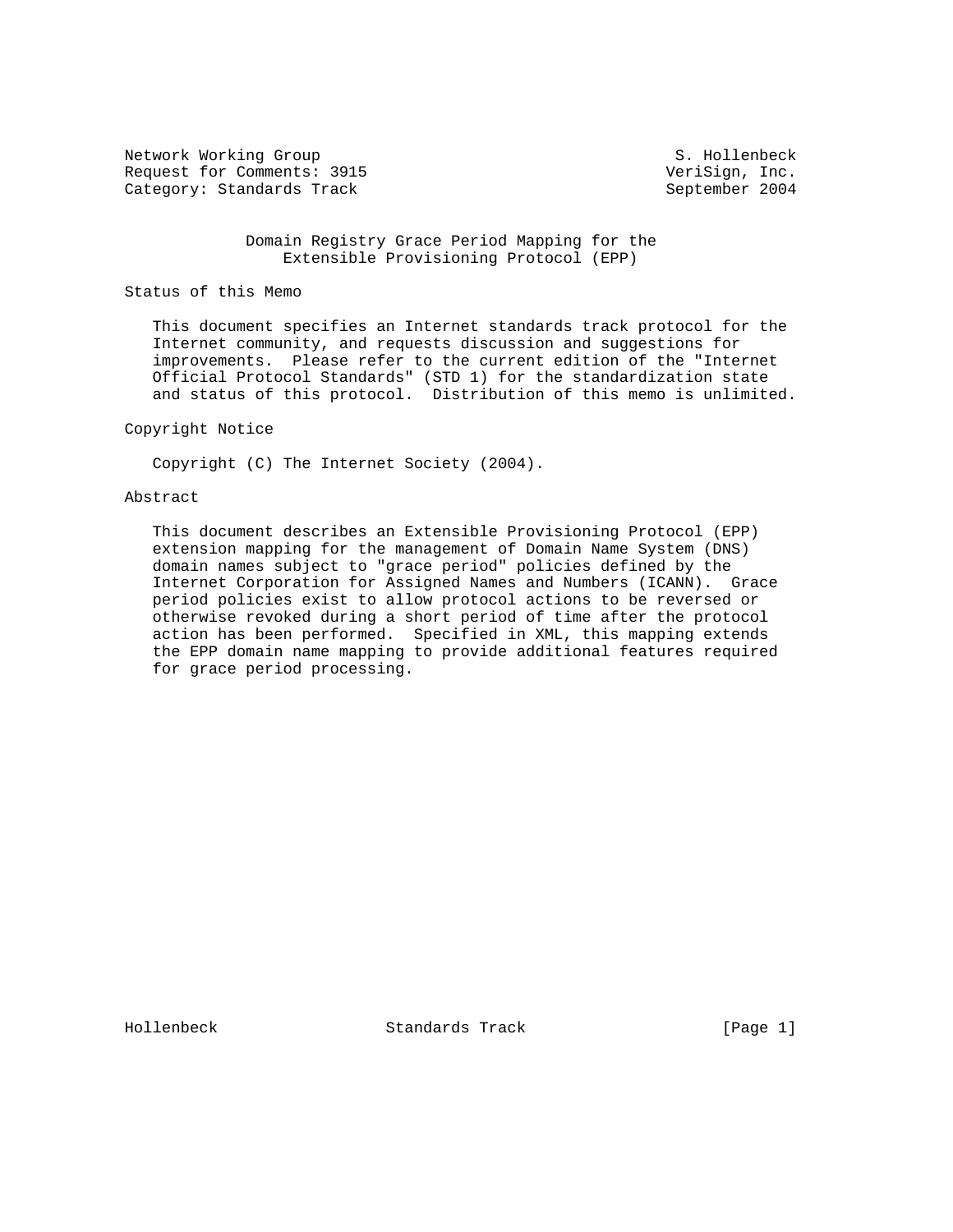Network Working Group S. Hollenbeck Request for Comments: 3915 VeriSign, Inc. Category: Standards Track September 2004

 Domain Registry Grace Period Mapping for the Extensible Provisioning Protocol (EPP)

#### Status of this Memo

 This document specifies an Internet standards track protocol for the Internet community, and requests discussion and suggestions for improvements. Please refer to the current edition of the "Internet Official Protocol Standards" (STD 1) for the standardization state and status of this protocol. Distribution of this memo is unlimited.

## Copyright Notice

Copyright (C) The Internet Society (2004).

#### Abstract

 This document describes an Extensible Provisioning Protocol (EPP) extension mapping for the management of Domain Name System (DNS) domain names subject to "grace period" policies defined by the Internet Corporation for Assigned Names and Numbers (ICANN). Grace period policies exist to allow protocol actions to be reversed or otherwise revoked during a short period of time after the protocol action has been performed. Specified in XML, this mapping extends the EPP domain name mapping to provide additional features required for grace period processing.

Hollenbeck Standards Track [Page 1]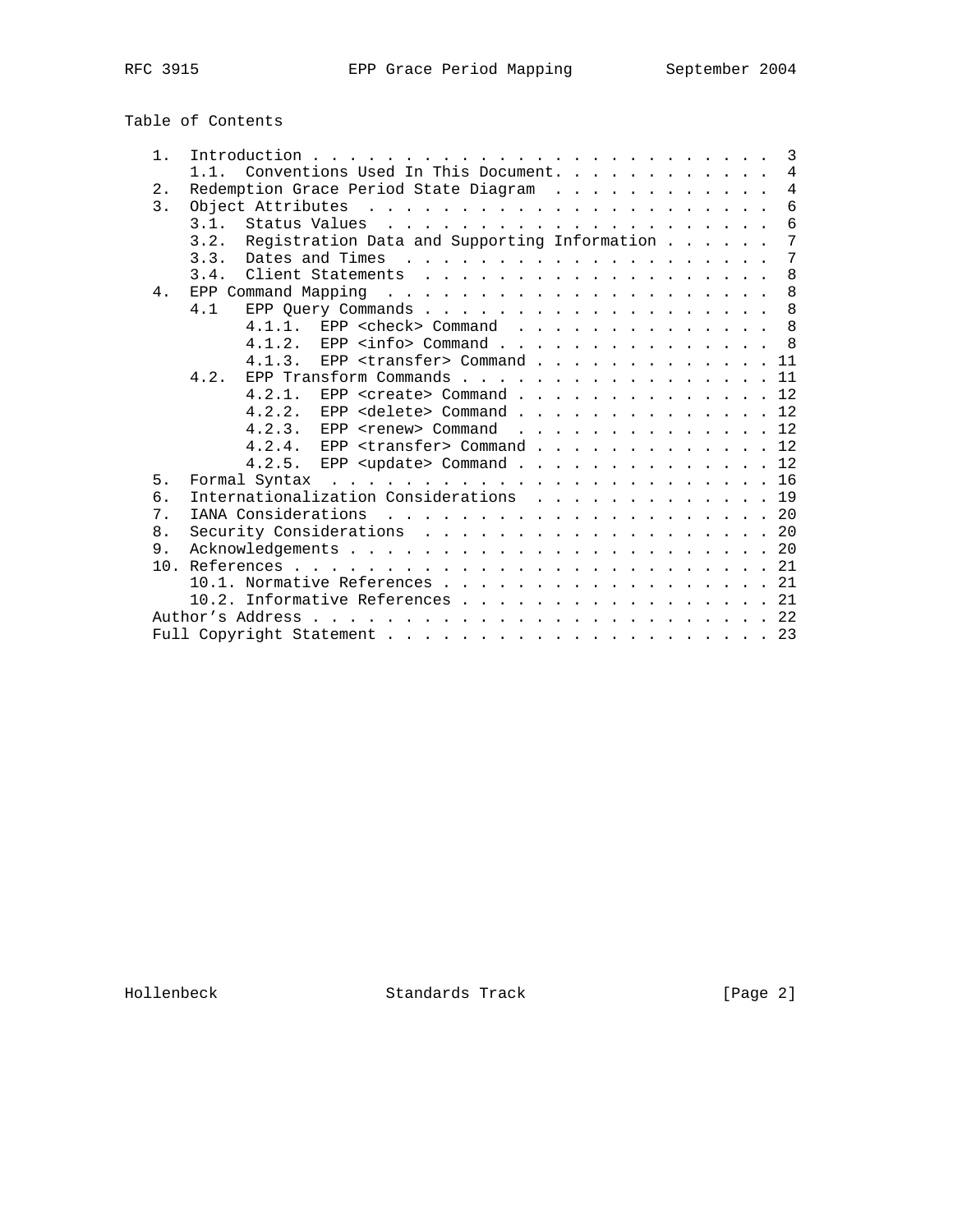# Table of Contents

| $1$ . |                                                      | 3              |
|-------|------------------------------------------------------|----------------|
|       | Conventions Used In This Document.<br>1.1.           | $\overline{4}$ |
| $2$ . | Redemption Grace Period State Diagram                | $\overline{4}$ |
| 3.    |                                                      | $\overline{6}$ |
|       | 3.1.                                                 | 6              |
|       | Registration Data and Supporting Information<br>3.2. | 7              |
|       | 3.3.                                                 | 7              |
|       | 8<br>3.4.                                            |                |
| 4.    |                                                      | 8              |
|       | 8<br>4.1                                             |                |
|       | 4.1.1. EPP < check> Command 8                        |                |
|       | 4.1.2. EPP <info> Command 8</info>                   |                |
|       | EPP <transfer> Command 11<br/>4.1.3.</transfer>      |                |
|       | EPP Transform Commands 11<br>4.2.                    |                |
|       | 4.2.1.<br>EPP <create> Command 12</create>           |                |
|       | 4.2.2. EPP <delete> Command 12</delete>              |                |
|       | 4.2.3.<br>EPP <renew> Command 12</renew>             |                |
|       | EPP <transfer> Command 12<br/>4.2.4.</transfer>      |                |
|       | 4.2.5. EPP <update> Command 12</update>              |                |
| 5.    |                                                      |                |
| б.    | Internationalization Considerations 19               |                |
| 7.    |                                                      |                |
| 8.    | Security Considerations 20                           |                |
| 9.    |                                                      |                |
|       |                                                      |                |
|       | 10.1. Normative References 21                        |                |
|       | 10.2. Informative References 21                      |                |
|       |                                                      |                |
|       |                                                      |                |

Hollenbeck Standards Track [Page 2]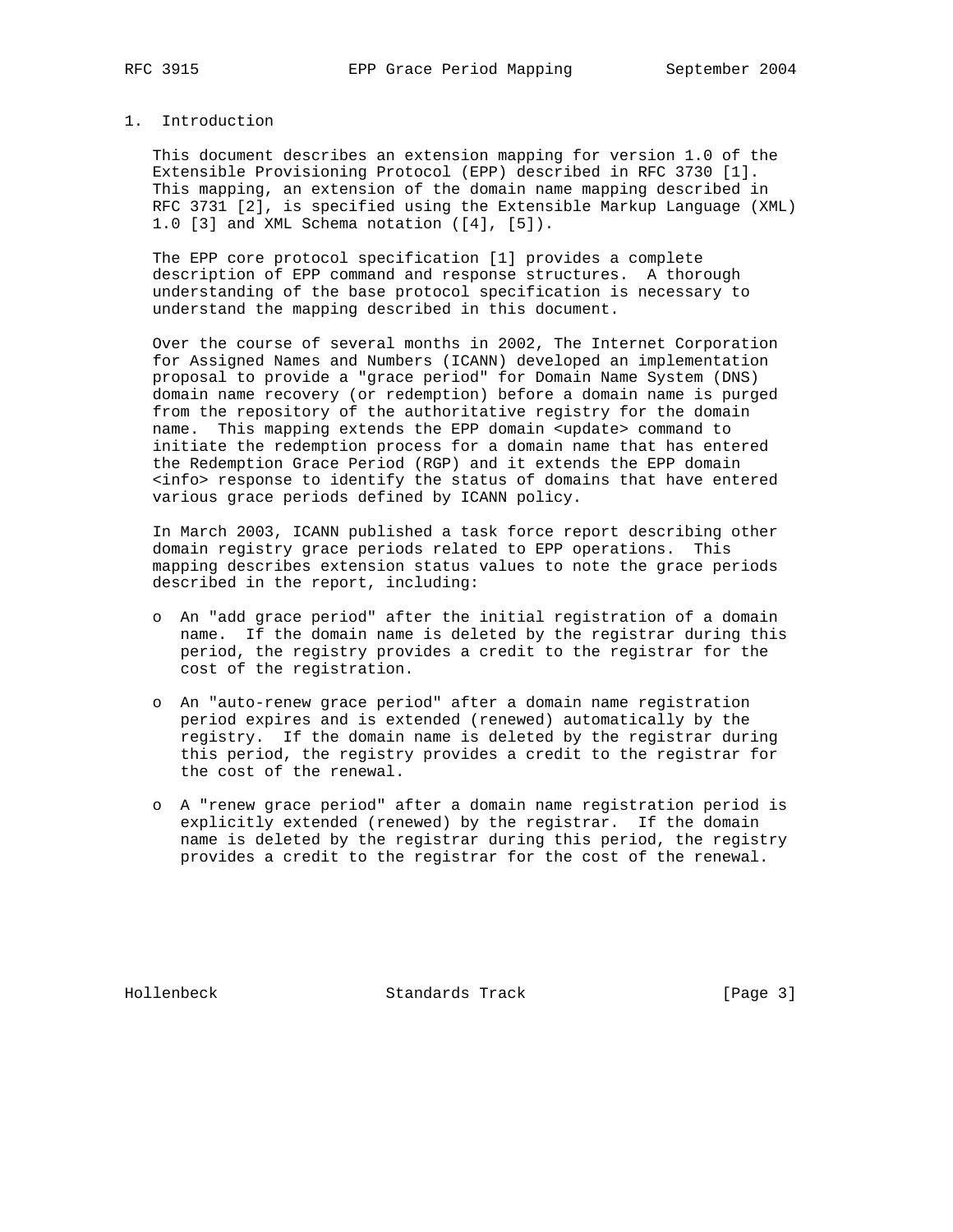## 1. Introduction

 This document describes an extension mapping for version 1.0 of the Extensible Provisioning Protocol (EPP) described in RFC 3730 [1]. This mapping, an extension of the domain name mapping described in RFC 3731 [2], is specified using the Extensible Markup Language (XML) 1.0 [3] and XML Schema notation ([4], [5]).

 The EPP core protocol specification [1] provides a complete description of EPP command and response structures. A thorough understanding of the base protocol specification is necessary to understand the mapping described in this document.

 Over the course of several months in 2002, The Internet Corporation for Assigned Names and Numbers (ICANN) developed an implementation proposal to provide a "grace period" for Domain Name System (DNS) domain name recovery (or redemption) before a domain name is purged from the repository of the authoritative registry for the domain name. This mapping extends the EPP domain <update> command to initiate the redemption process for a domain name that has entered the Redemption Grace Period (RGP) and it extends the EPP domain <info> response to identify the status of domains that have entered various grace periods defined by ICANN policy.

 In March 2003, ICANN published a task force report describing other domain registry grace periods related to EPP operations. This mapping describes extension status values to note the grace periods described in the report, including:

- o An "add grace period" after the initial registration of a domain name. If the domain name is deleted by the registrar during this period, the registry provides a credit to the registrar for the cost of the registration.
- o An "auto-renew grace period" after a domain name registration period expires and is extended (renewed) automatically by the registry. If the domain name is deleted by the registrar during this period, the registry provides a credit to the registrar for the cost of the renewal.
- o A "renew grace period" after a domain name registration period is explicitly extended (renewed) by the registrar. If the domain name is deleted by the registrar during this period, the registry provides a credit to the registrar for the cost of the renewal.

Hollenbeck Standards Track [Page 3]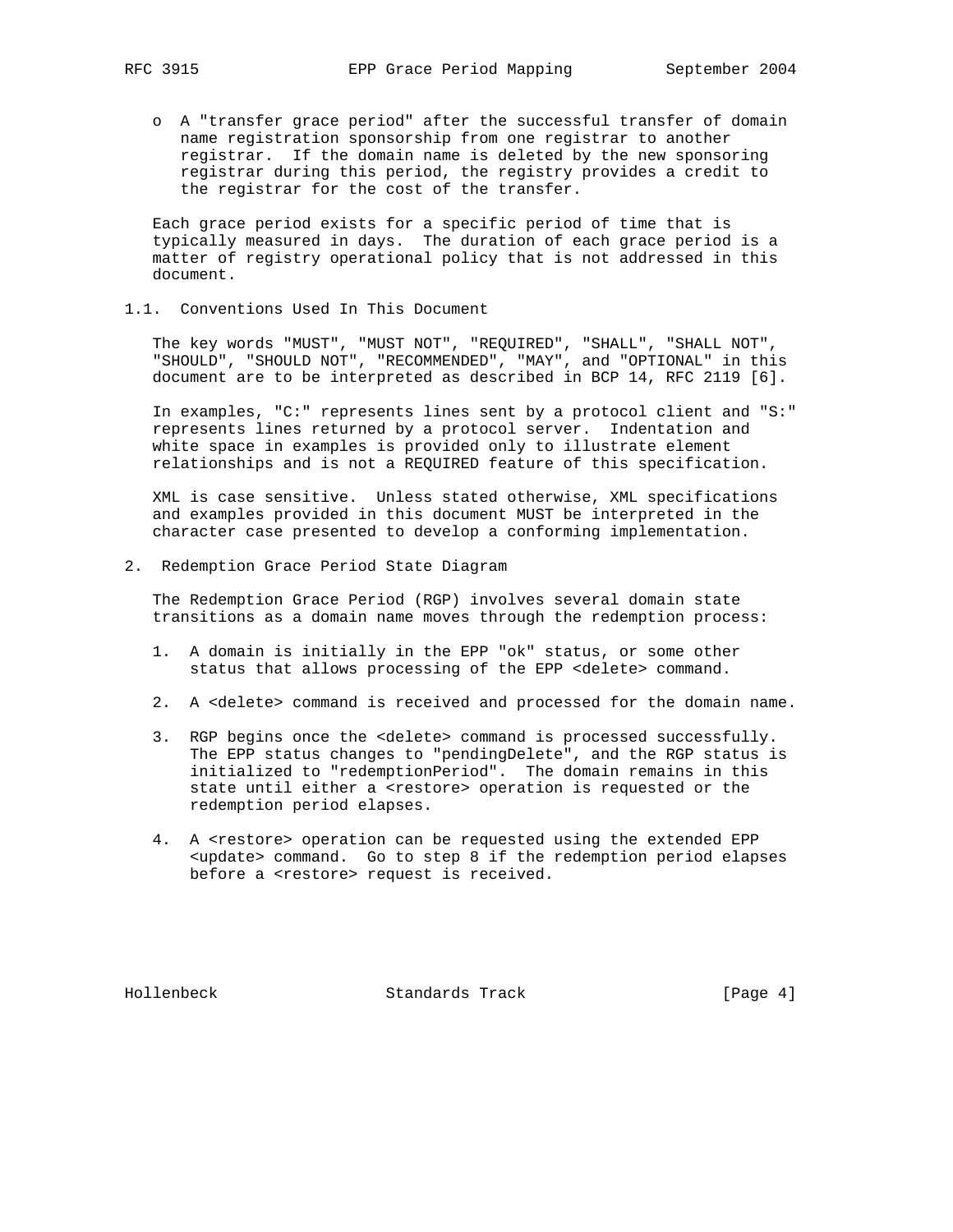o A "transfer grace period" after the successful transfer of domain name registration sponsorship from one registrar to another registrar. If the domain name is deleted by the new sponsoring registrar during this period, the registry provides a credit to the registrar for the cost of the transfer.

 Each grace period exists for a specific period of time that is typically measured in days. The duration of each grace period is a matter of registry operational policy that is not addressed in this document.

1.1. Conventions Used In This Document

 The key words "MUST", "MUST NOT", "REQUIRED", "SHALL", "SHALL NOT", "SHOULD", "SHOULD NOT", "RECOMMENDED", "MAY", and "OPTIONAL" in this document are to be interpreted as described in BCP 14, RFC 2119 [6].

 In examples, "C:" represents lines sent by a protocol client and "S:" represents lines returned by a protocol server. Indentation and white space in examples is provided only to illustrate element relationships and is not a REQUIRED feature of this specification.

 XML is case sensitive. Unless stated otherwise, XML specifications and examples provided in this document MUST be interpreted in the character case presented to develop a conforming implementation.

2. Redemption Grace Period State Diagram

 The Redemption Grace Period (RGP) involves several domain state transitions as a domain name moves through the redemption process:

- 1. A domain is initially in the EPP "ok" status, or some other status that allows processing of the EPP <delete> command.
- 2. A <delete> command is received and processed for the domain name.
- 3. RGP begins once the <delete> command is processed successfully. The EPP status changes to "pendingDelete", and the RGP status is initialized to "redemptionPeriod". The domain remains in this state until either a <restore> operation is requested or the redemption period elapses.
- 4. A <restore> operation can be requested using the extended EPP <update> command. Go to step 8 if the redemption period elapses before a <restore> request is received.

Hollenbeck Standards Track [Page 4]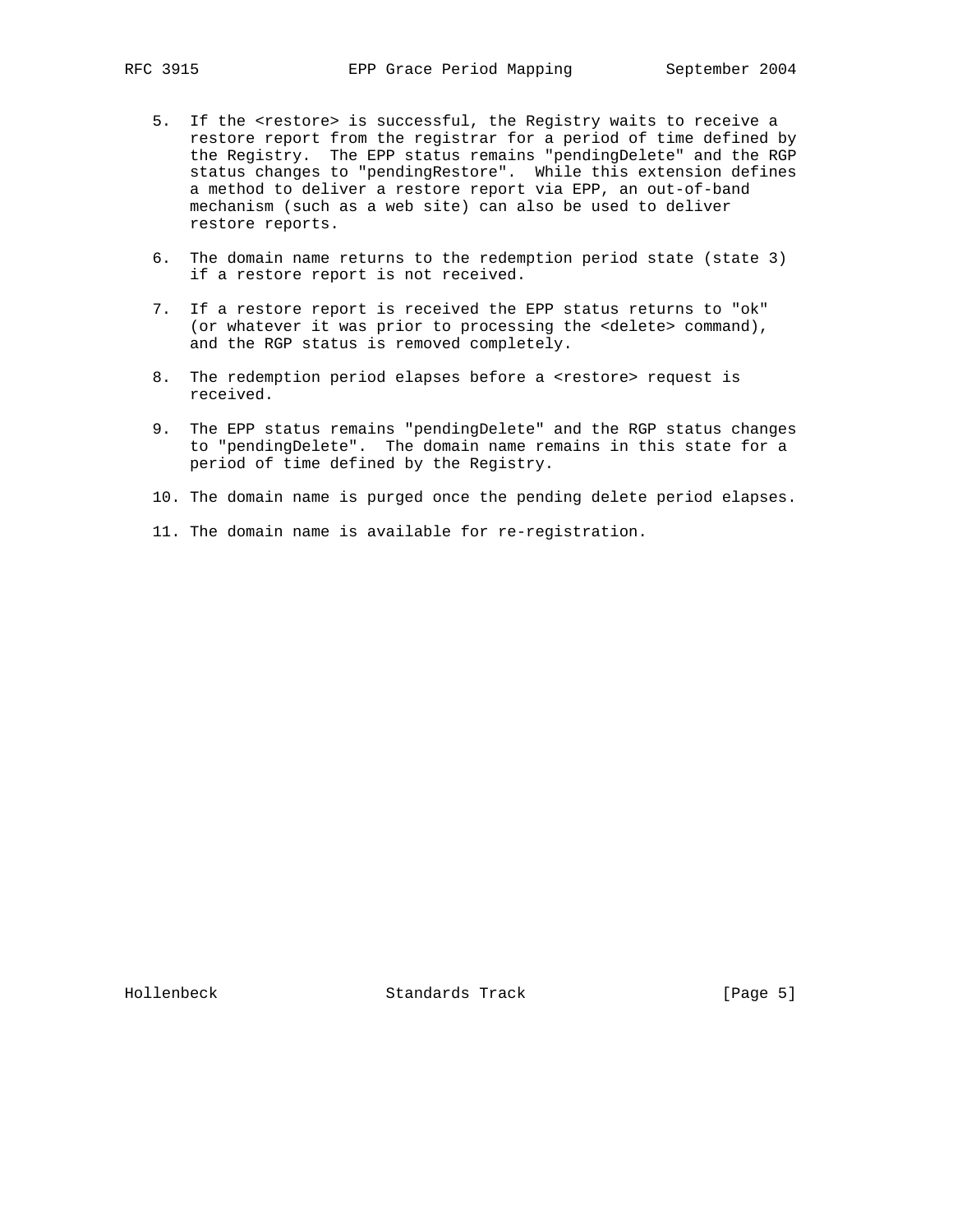- 5. If the <restore> is successful, the Registry waits to receive a restore report from the registrar for a period of time defined by the Registry. The EPP status remains "pendingDelete" and the RGP status changes to "pendingRestore". While this extension defines a method to deliver a restore report via EPP, an out-of-band mechanism (such as a web site) can also be used to deliver restore reports.
- 6. The domain name returns to the redemption period state (state 3) if a restore report is not received.
- 7. If a restore report is received the EPP status returns to "ok" (or whatever it was prior to processing the <delete> command), and the RGP status is removed completely.
- 8. The redemption period elapses before a <restore> request is received.
- 9. The EPP status remains "pendingDelete" and the RGP status changes to "pendingDelete". The domain name remains in this state for a period of time defined by the Registry.
- 10. The domain name is purged once the pending delete period elapses.
- 11. The domain name is available for re-registration.

Hollenbeck Standards Track [Page 5]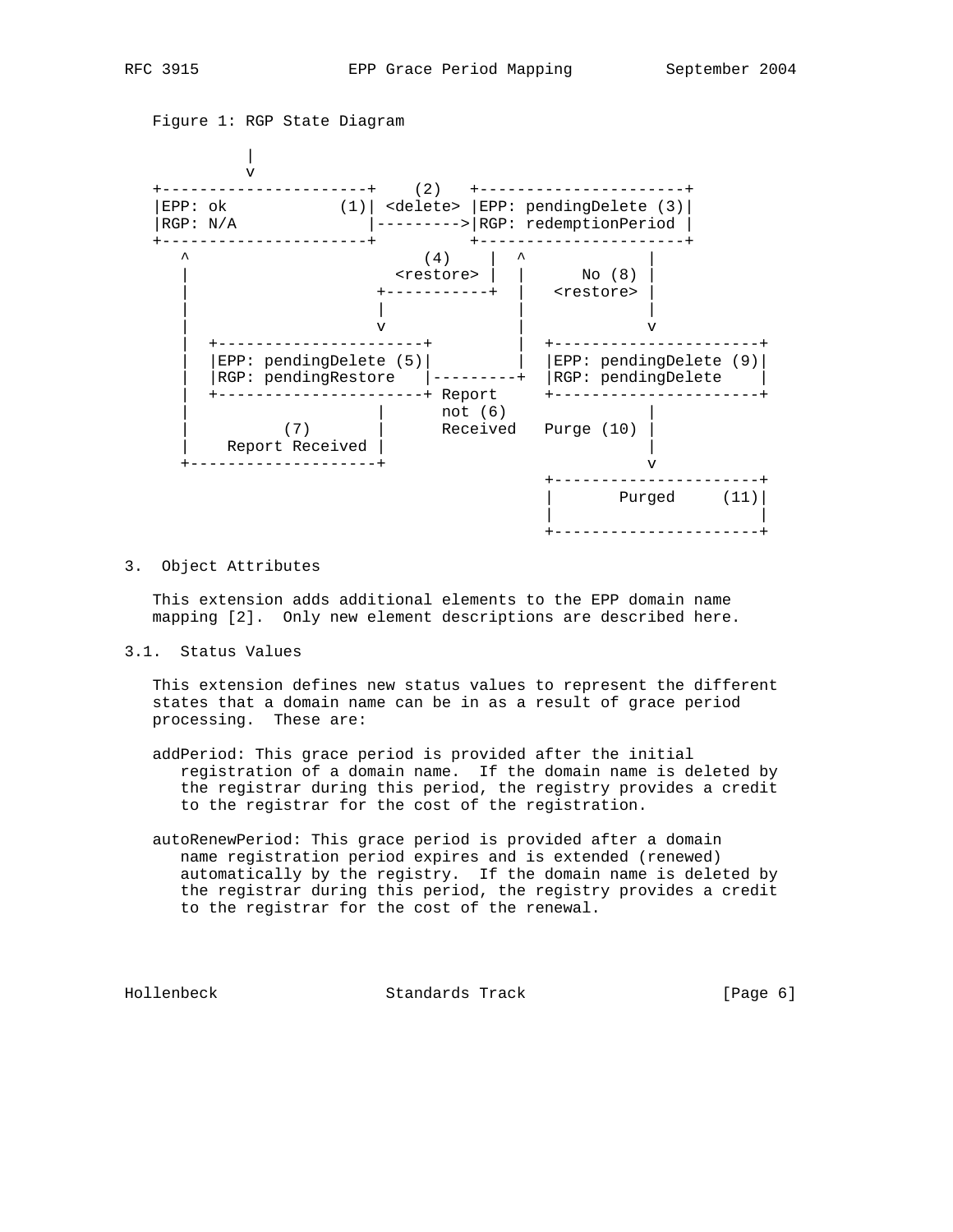

#### 3. Object Attributes

 This extension adds additional elements to the EPP domain name mapping [2]. Only new element descriptions are described here.

3.1. Status Values

 This extension defines new status values to represent the different states that a domain name can be in as a result of grace period processing. These are:

- addPeriod: This grace period is provided after the initial registration of a domain name. If the domain name is deleted by the registrar during this period, the registry provides a credit to the registrar for the cost of the registration.
- autoRenewPeriod: This grace period is provided after a domain name registration period expires and is extended (renewed) automatically by the registry. If the domain name is deleted by the registrar during this period, the registry provides a credit to the registrar for the cost of the renewal.

Hollenbeck Standards Track [Page 6]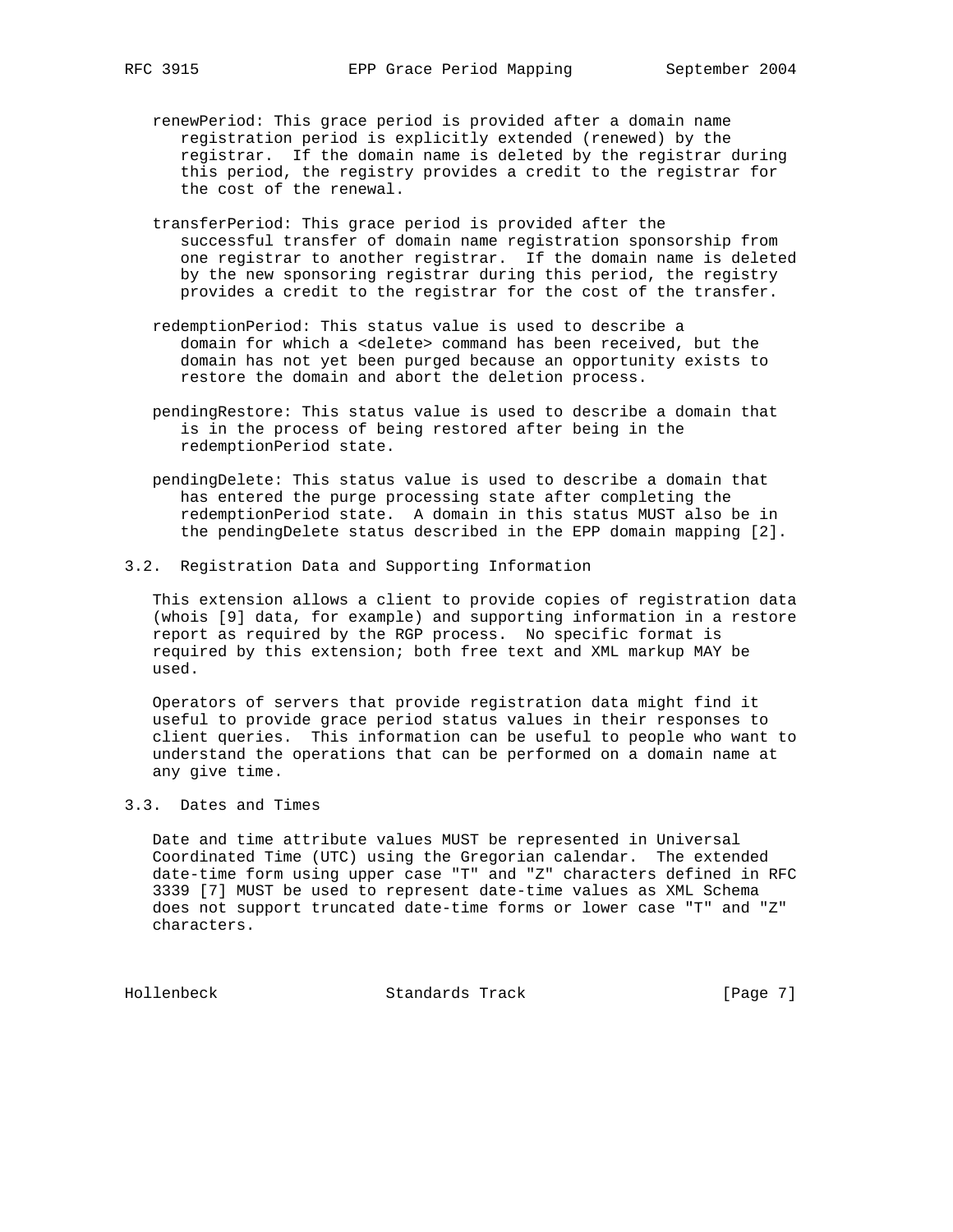- renewPeriod: This grace period is provided after a domain name registration period is explicitly extended (renewed) by the registrar. If the domain name is deleted by the registrar during this period, the registry provides a credit to the registrar for the cost of the renewal.
- transferPeriod: This grace period is provided after the successful transfer of domain name registration sponsorship from one registrar to another registrar. If the domain name is deleted by the new sponsoring registrar during this period, the registry provides a credit to the registrar for the cost of the transfer.
- redemptionPeriod: This status value is used to describe a domain for which a <delete> command has been received, but the domain has not yet been purged because an opportunity exists to restore the domain and abort the deletion process.
- pendingRestore: This status value is used to describe a domain that is in the process of being restored after being in the redemptionPeriod state.
- pendingDelete: This status value is used to describe a domain that has entered the purge processing state after completing the redemptionPeriod state. A domain in this status MUST also be in the pendingDelete status described in the EPP domain mapping [2].
- 3.2. Registration Data and Supporting Information

 This extension allows a client to provide copies of registration data (whois [9] data, for example) and supporting information in a restore report as required by the RGP process. No specific format is required by this extension; both free text and XML markup MAY be used.

 Operators of servers that provide registration data might find it useful to provide grace period status values in their responses to client queries. This information can be useful to people who want to understand the operations that can be performed on a domain name at any give time.

3.3. Dates and Times

 Date and time attribute values MUST be represented in Universal Coordinated Time (UTC) using the Gregorian calendar. The extended date-time form using upper case "T" and "Z" characters defined in RFC 3339 [7] MUST be used to represent date-time values as XML Schema does not support truncated date-time forms or lower case "T" and "Z" characters.

Hollenbeck Standards Track [Page 7]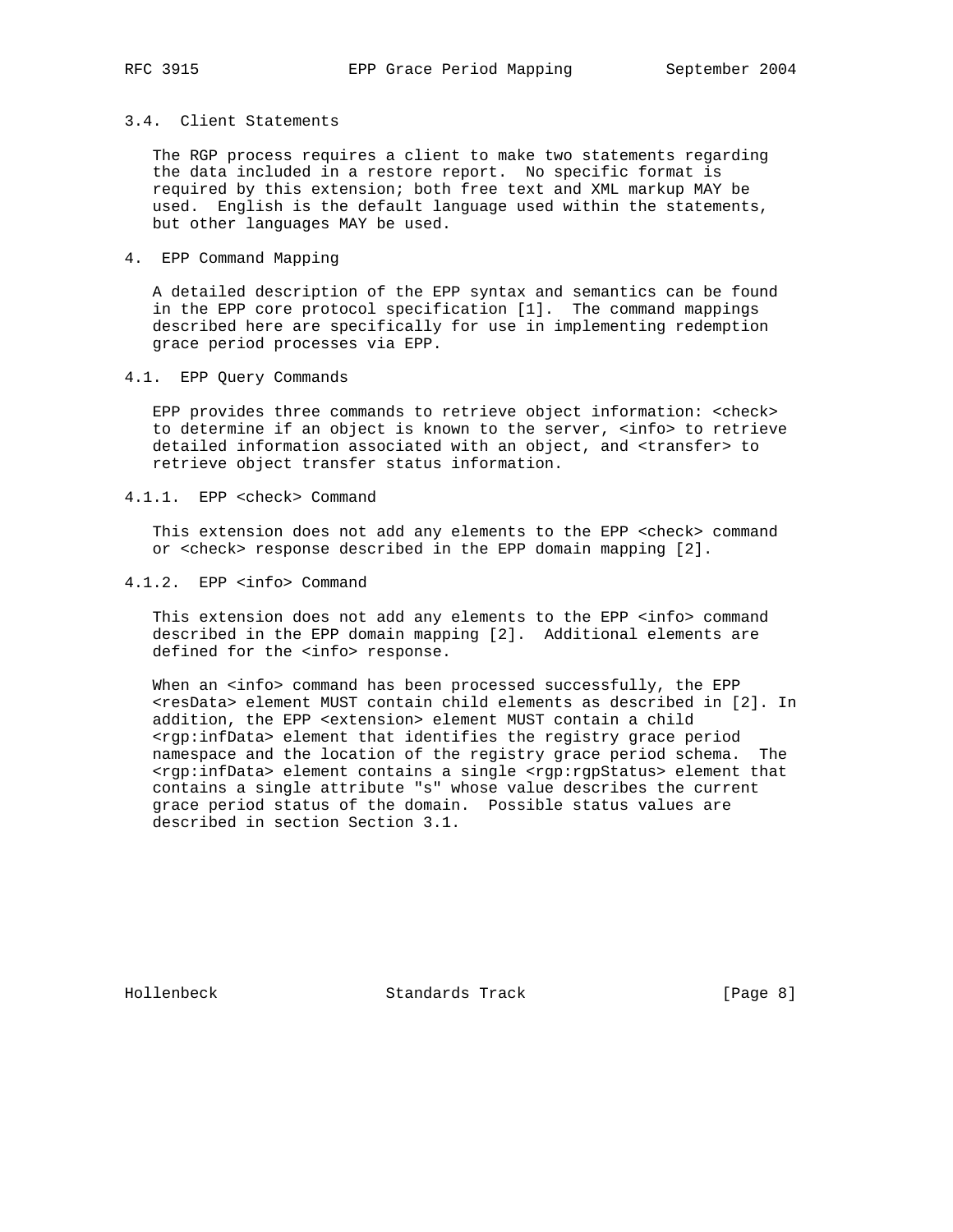## 3.4. Client Statements

 The RGP process requires a client to make two statements regarding the data included in a restore report. No specific format is required by this extension; both free text and XML markup MAY be used. English is the default language used within the statements, but other languages MAY be used.

## 4. EPP Command Mapping

 A detailed description of the EPP syntax and semantics can be found in the EPP core protocol specification [1]. The command mappings described here are specifically for use in implementing redemption grace period processes via EPP.

### 4.1. EPP Query Commands

 EPP provides three commands to retrieve object information: <check> to determine if an object is known to the server, <info> to retrieve detailed information associated with an object, and <transfer> to retrieve object transfer status information.

#### 4.1.1. EPP <check> Command

 This extension does not add any elements to the EPP <check> command or <check> response described in the EPP domain mapping [2].

#### 4.1.2. EPP <info> Command

This extension does not add any elements to the EPP <info> command described in the EPP domain mapping [2]. Additional elements are defined for the <info> response.

When an <info> command has been processed successfully, the EPP <resData> element MUST contain child elements as described in [2]. In addition, the EPP <extension> element MUST contain a child <rgp:infData> element that identifies the registry grace period namespace and the location of the registry grace period schema. The <rgp:infData> element contains a single <rgp:rgpStatus> element that contains a single attribute "s" whose value describes the current grace period status of the domain. Possible status values are described in section Section 3.1.

Hollenbeck Standards Track [Page 8]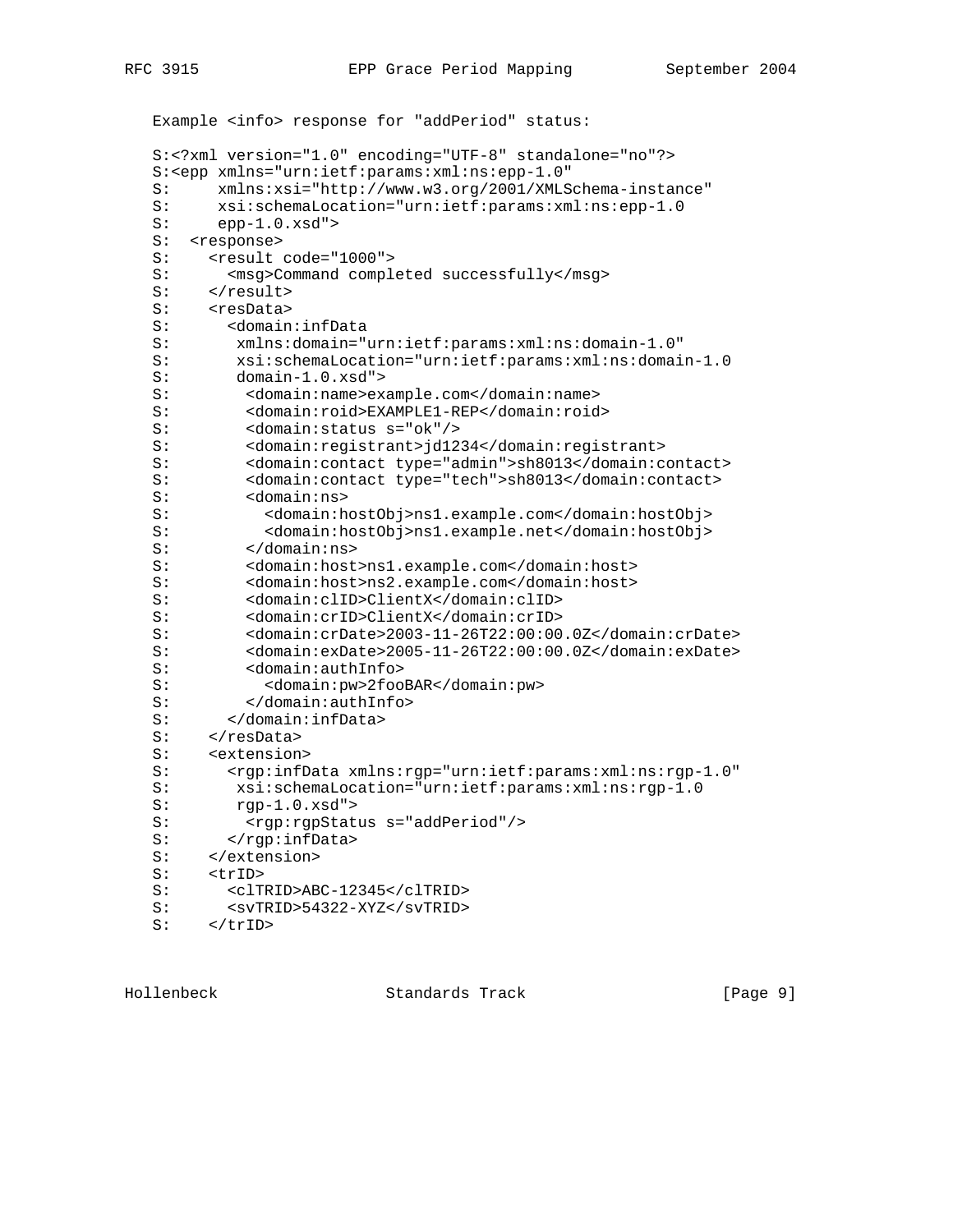```
 Example <info> response for "addPeriod" status:
 S:<?xml version="1.0" encoding="UTF-8" standalone="no"?>
 S:<epp xmlns="urn:ietf:params:xml:ns:epp-1.0"
 S: xmlns:xsi="http://www.w3.org/2001/XMLSchema-instance"
S: xsi:schemalocation="urn:ietf:params:xml:ns:epp-1.0<br>S: epp-1.0.xsd" >epp-1.0.xsd" S: <response>
S: <result code="1000">
S: <msg>Command completed successfully</msg>
S: </result>
S: <resData><br>S: <domain
       S: <domain:infData
 S: xmlns:domain="urn:ietf:params:xml:ns:domain-1.0"
 S: xsi:schemaLocation="urn:ietf:params:xml:ns:domain-1.0
 S: domain-1.0.xsd">
 S: <domain:name>example.com</domain:name>
 S: <domain:roid>EXAMPLE1-REP</domain:roid>
 S: <domain:status s="ok"/>
 S: <domain:registrant>jd1234</domain:registrant>
 S: <domain:contact type="admin">sh8013</domain:contact>
       <domain: contact type="tech">sh8013</domain: contact>
 S: <domain:ns>
 S: <domain:hostObj>ns1.example.com</domain:hostObj>
 S: <domain:hostObj>ns1.example.net</domain:hostObj>
 S: </domain:ns>
 S: <domain:host>ns1.example.com</domain:host>
 S: <domain:host>ns2.example.com</domain:host>
 S: <domain:clID>ClientX</domain:clID>
 S: <domain:crID>ClientX</domain:crID>
        S: <domain:crDate>2003-11-26T22:00:00.0Z</domain:crDate>
 S: <domain:exDate>2005-11-26T22:00:00.0Z</domain:exDate>
 S: <domain:authInfo>
 S: <domain:pw>2fooBAR</domain:pw>
 S: </domain:authInfo>
 S: </domain:infData>
S: </resData>
 S: <extension>
S: <rgp:infData xmlns:rgp="urn:ietf:params:xml:ns:rgp-1.0"
 S: xsi:schemaLocation="urn:ietf:params:xml:ns:rgp-1.0
 S: rgp-1.0.xsd">
S: <rgp:rgpStatus s="addPeriod"/>
S: </rgp:infData>
 S: </extension>
 S: <trID>
 S: <clTRID>ABC-12345</clTRID>
 S: <svTRID>54322-XYZ</svTRID>
S: </trID>
```
Hollenbeck Standards Track [Page 9]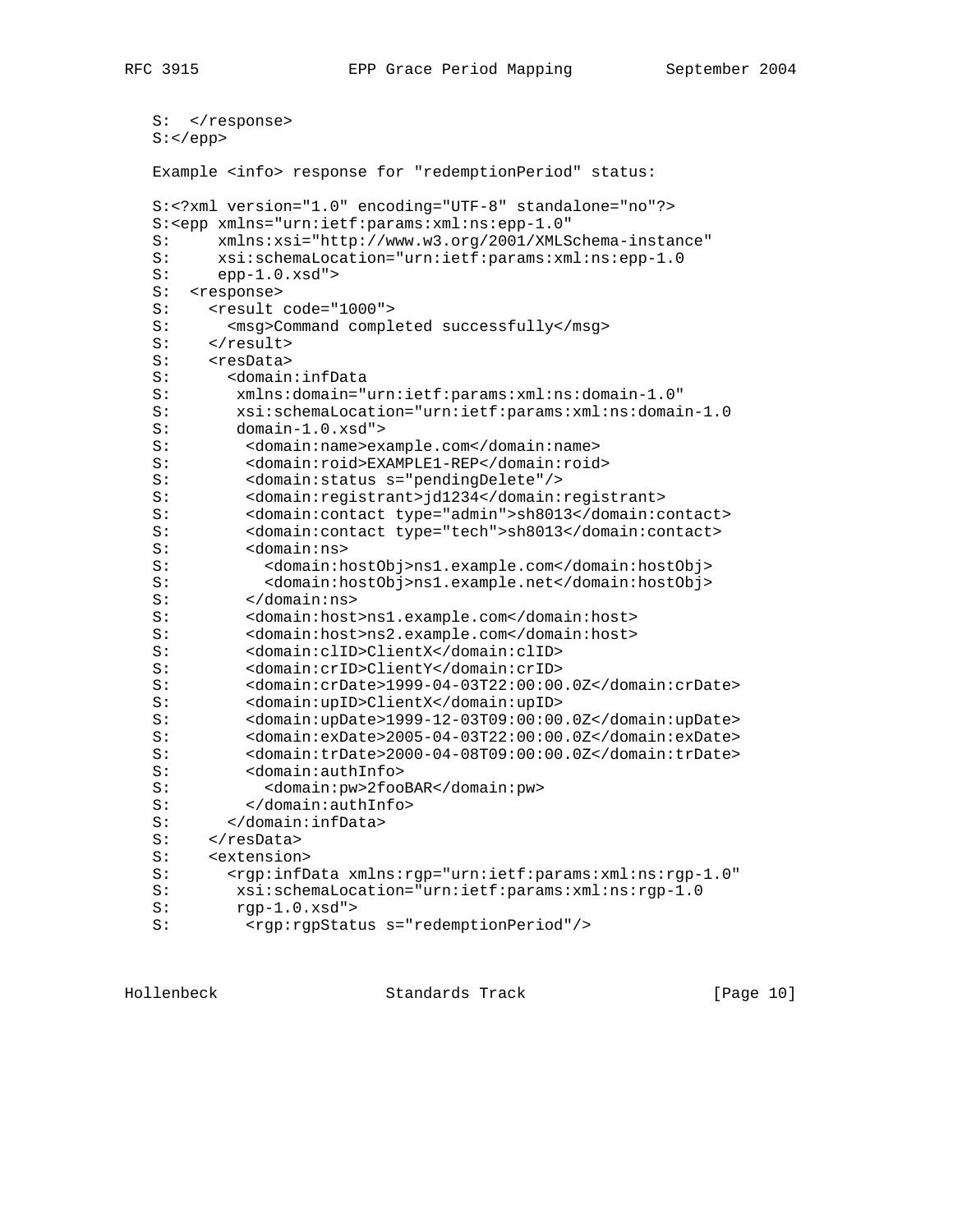```
S: </response>
 S:</epp>
 Example <info> response for "redemptionPeriod" status:
 S:<?xml version="1.0" encoding="UTF-8" standalone="no"?>
 S:<epp xmlns="urn:ietf:params:xml:ns:epp-1.0"
 S: xmlns:xsi="http://www.w3.org/2001/XMLSchema-instance"
 S: xsi:schemaLocation="urn:ietf:params:xml:ns:epp-1.0
 S: epp-1.0.xsd">
S: <response>
S: <result code="1000">
 S: <msg>Command completed successfully</msg>
S: </result>
S: <resData>
 S: <domain:infData
 S: xmlns:domain="urn:ietf:params:xml:ns:domain-1.0"
 S: xsi:schemaLocation="urn:ietf:params:xml:ns:domain-1.0
 S: domain-1.0.xsd">
 S: <domain:name>example.com</domain:name>
S: <domain:roid>EXAMPLE1-REP</domain:roid><br>S: <domain:status s="pendingDelete"/>
         S: <domain:status s="pendingDelete"/>
 S: <domain:registrant>jd1234</domain:registrant>
 S: <domain:contact type="admin">sh8013</domain:contact>
 S: <domain:contact type="tech">sh8013</domain:contact>
 S: <domain:ns>
 S: <domain:hostObj>ns1.example.com</domain:hostObj>
 S: <domain:hostObj>ns1.example.net</domain:hostObj>
 S: </domain:ns>
 S: <domain:host>ns1.example.com</domain:host>
 S: <domain:host>ns2.example.com</domain:host>
 S: <domain:clID>ClientX</domain:clID>
S: <domain:crID>ClientY</domain:crID><br>S: <domain:crDate>1999-04-03T22:00:00
         S: <domain:crDate>1999-04-03T22:00:00.0Z</domain:crDate>
 S: <domain:upID>ClientX</domain:upID>
 S: <domain:upDate>1999-12-03T09:00:00.0Z</domain:upDate>
 S: <domain:exDate>2005-04-03T22:00:00.0Z</domain:exDate>
 S: <domain:trDate>2000-04-08T09:00:00.0Z</domain:trDate>
 S: <domain:authInfo>
 S: <domain:pw>2fooBAR</domain:pw>
 S: </domain:authInfo>
 S: </domain:infData>
S: </resData>
 S: <extension>
S: <rgp:infData xmlns:rgp="urn:ietf:params:xml:ns:rgp-1.0"<br>S: xsi:schemaLocation="urn:ietf:params:xml:ns:rgp-1.0
        S: xsi:schemaLocation="urn:ietf:params:xml:ns:rgp-1.0
 S: rgp-1.0.xsd">
S: <rgp:rgpStatus s="redemptionPeriod"/>
```
Hollenbeck Standards Track [Page 10]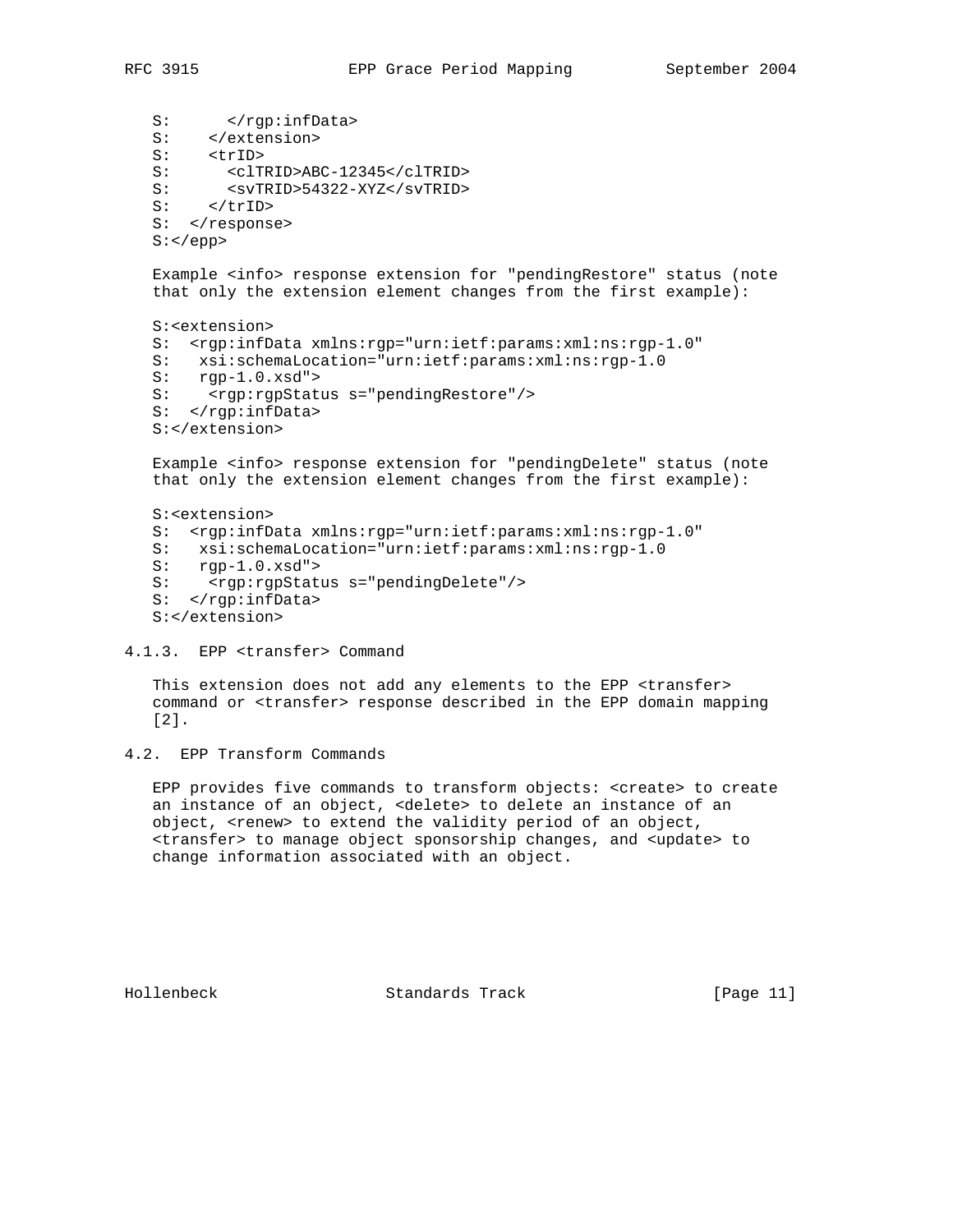S: </rgp:infData> S: </extension> S: <trID> S: <clTRID>ABC-12345</clTRID> S: <svTRID>54322-XYZ</svTRID><br>S: </trID> S: </trID> S: </response>  $S:$  Example <info> response extension for "pendingRestore" status (note that only the extension element changes from the first example): S:<extension> S: <rgp:infData xmlns:rgp="urn:ietf:params:xml:ns:rgp-1.0" S: xsi:schemaLocation="urn:ietf:params:xml:ns:rgp-1.0<br>S: rgp-1.0.xsd"> S: rgp-1.0.xsd"><br>S: <rgp:rgpStat <rgp: rgpStatus s="pendingRestore"/> S: </rgp:infData> S:</extension> Example <info> response extension for "pendingDelete" status (note that only the extension element changes from the first example):

 S:<extension> S: <rgp:infData xmlns:rgp="urn:ietf:params:xml:ns:rgp-1.0" S: xsi:schemaLocation="urn:ietf:params:xml:ns:rgp-1.0<br>S: rgp-1.0.xsd">  $rgp-1.0.xsd"$ S: <rgp:rgpStatus s="pendingDelete"/> S: </rgp:infData> S:</extension>

#### 4.1.3. EPP <transfer> Command

 This extension does not add any elements to the EPP <transfer> command or <transfer> response described in the EPP domain mapping [2].

 EPP provides five commands to transform objects: <create> to create an instance of an object, <delete> to delete an instance of an object, <renew> to extend the validity period of an object, <transfer> to manage object sponsorship changes, and <update> to change information associated with an object.

Hollenbeck Standards Track [Page 11]

<sup>4.2.</sup> EPP Transform Commands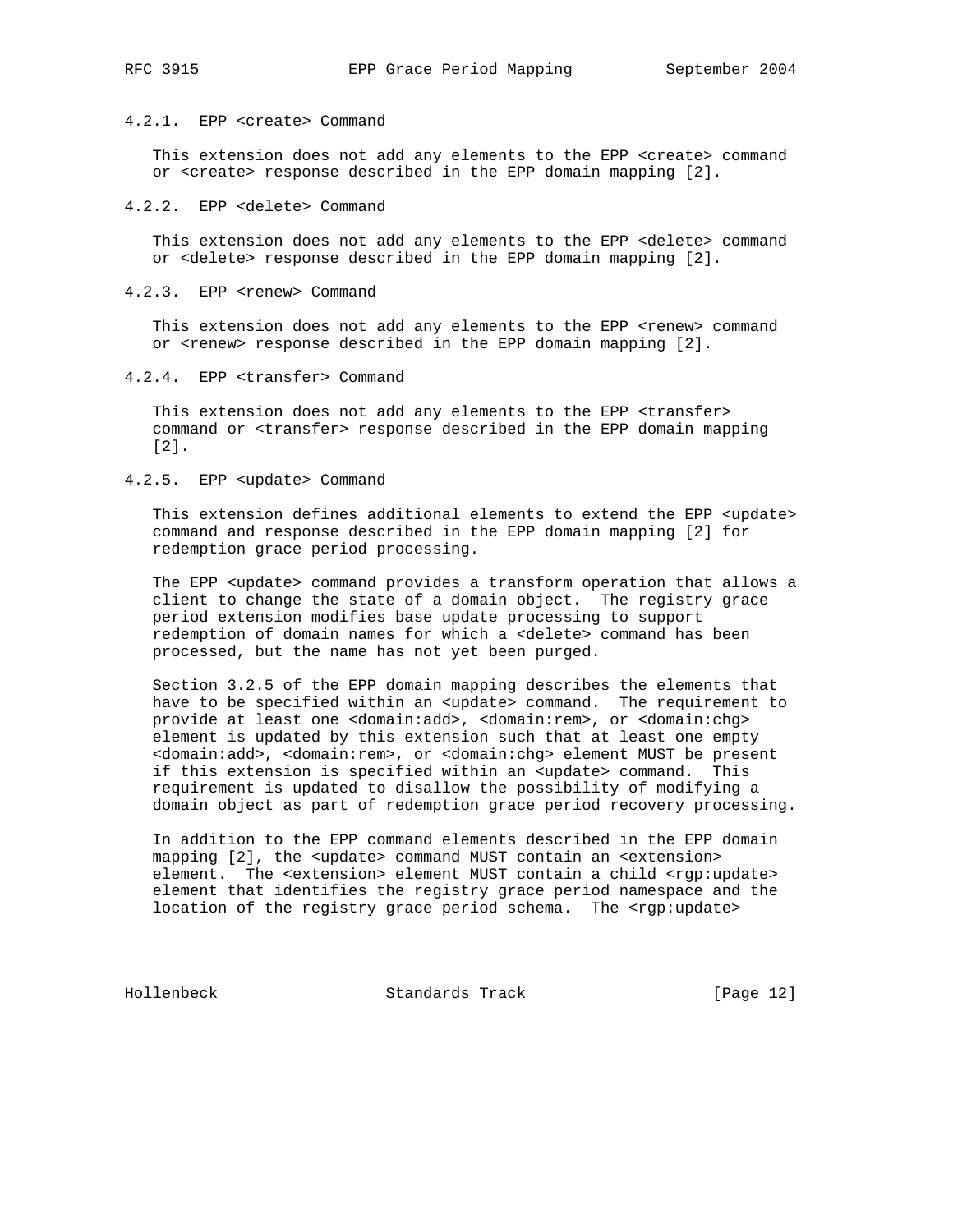## 4.2.1. EPP <create> Command

This extension does not add any elements to the EPP <create> command or <create> response described in the EPP domain mapping [2].

## 4.2.2. EPP <delete> Command

 This extension does not add any elements to the EPP <delete> command or <delete> response described in the EPP domain mapping [2].

#### 4.2.3. EPP <renew> Command

This extension does not add any elements to the EPP <renew> command or <renew> response described in the EPP domain mapping [2].

4.2.4. EPP <transfer> Command

 This extension does not add any elements to the EPP <transfer> command or <transfer> response described in the EPP domain mapping [2].

## 4.2.5. EPP <update> Command

This extension defines additional elements to extend the EPP <update> command and response described in the EPP domain mapping [2] for redemption grace period processing.

The EPP <update> command provides a transform operation that allows a client to change the state of a domain object. The registry grace period extension modifies base update processing to support redemption of domain names for which a <delete> command has been processed, but the name has not yet been purged.

 Section 3.2.5 of the EPP domain mapping describes the elements that have to be specified within an <update> command. The requirement to provide at least one <domain:add>, <domain:rem>, or <domain:chg> element is updated by this extension such that at least one empty <domain:add>, <domain:rem>, or <domain:chg> element MUST be present if this extension is specified within an <update> command. This requirement is updated to disallow the possibility of modifying a domain object as part of redemption grace period recovery processing.

 In addition to the EPP command elements described in the EPP domain mapping [2], the <update> command MUST contain an <extension> element. The <extension> element MUST contain a child <rgp:update> element that identifies the registry grace period namespace and the location of the registry grace period schema. The <rgp:update>

Hollenbeck Standards Track [Page 12]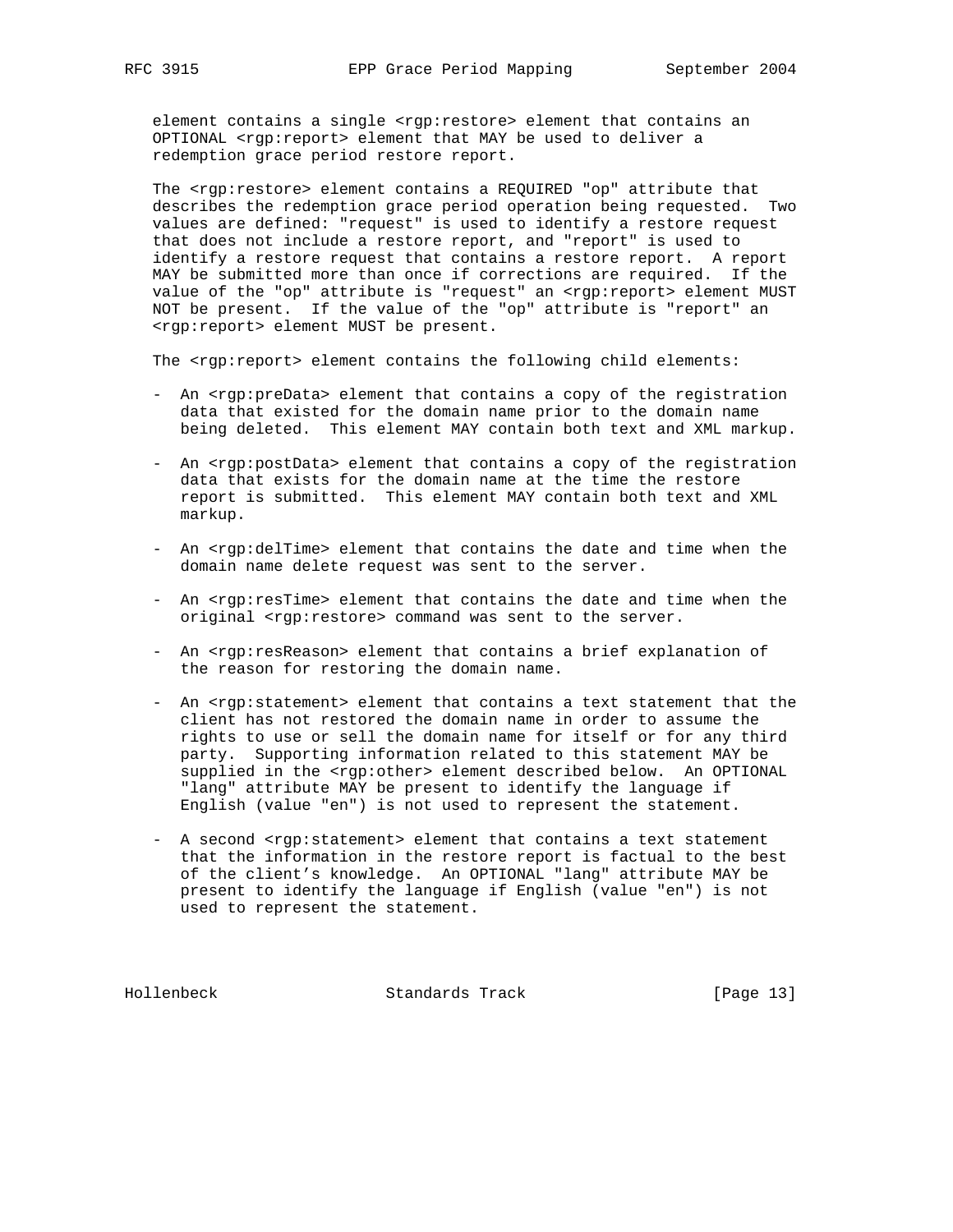element contains a single <rgp:restore> element that contains an OPTIONAL <rgp:report> element that MAY be used to deliver a redemption grace period restore report.

 The <rgp:restore> element contains a REQUIRED "op" attribute that describes the redemption grace period operation being requested. Two values are defined: "request" is used to identify a restore request that does not include a restore report, and "report" is used to identify a restore request that contains a restore report. A report MAY be submitted more than once if corrections are required. If the value of the "op" attribute is "request" an <rgp:report> element MUST NOT be present. If the value of the "op" attribute is "report" an <rgp:report> element MUST be present.

The <rgp:report> element contains the following child elements:

- An <rgp:preData> element that contains a copy of the registration data that existed for the domain name prior to the domain name being deleted. This element MAY contain both text and XML markup.
- An <rgp:postData> element that contains a copy of the registration data that exists for the domain name at the time the restore report is submitted. This element MAY contain both text and XML markup.
- An <rgp:delTime> element that contains the date and time when the domain name delete request was sent to the server.
- An <rgp:resTime> element that contains the date and time when the original <rgp:restore> command was sent to the server.
- An <rgp:resReason> element that contains a brief explanation of the reason for restoring the domain name.
- An <rgp:statement> element that contains a text statement that the client has not restored the domain name in order to assume the rights to use or sell the domain name for itself or for any third party. Supporting information related to this statement MAY be supplied in the <rgp:other> element described below. An OPTIONAL "lang" attribute MAY be present to identify the language if English (value "en") is not used to represent the statement.
- A second <rgp:statement> element that contains a text statement that the information in the restore report is factual to the best of the client's knowledge. An OPTIONAL "lang" attribute MAY be present to identify the language if English (value "en") is not used to represent the statement.

Hollenbeck Standards Track [Page 13]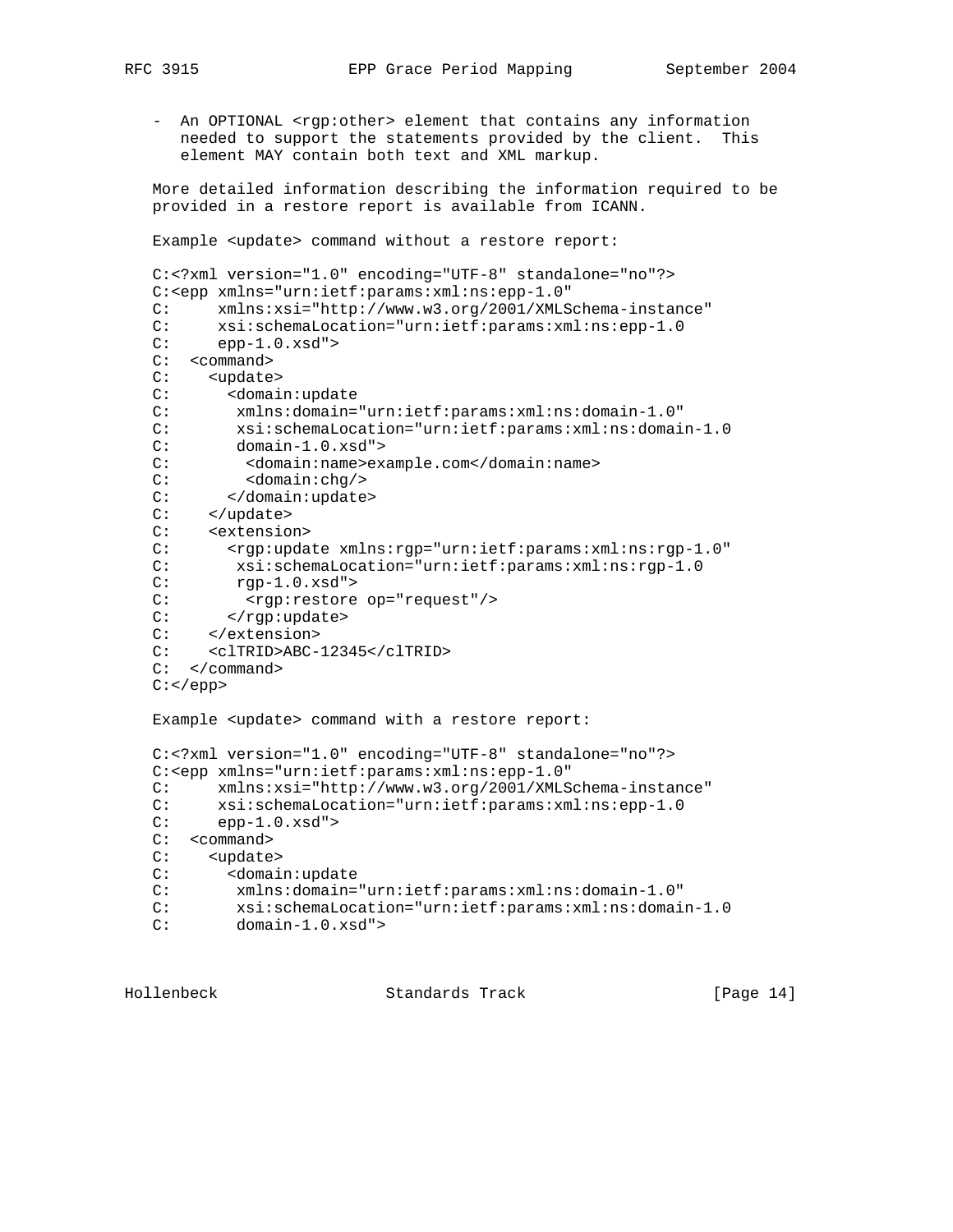- An OPTIONAL <rgp:other> element that contains any information needed to support the statements provided by the client. This element MAY contain both text and XML markup.

 More detailed information describing the information required to be provided in a restore report is available from ICANN.

Example <update> command without a restore report:

```
 C:<?xml version="1.0" encoding="UTF-8" standalone="no"?>
   C:<epp xmlns="urn:ietf:params:xml:ns:epp-1.0"
   C: xmlns:xsi="http://www.w3.org/2001/XMLSchema-instance"
  C: xsi:schemaLocation="urn:ietf:params:xml:ns:epp-1.0<br>C: epp-1.0.xsd">
        epp-1.0.xsd" C: <command>
   C: <update>
   C: <domain:update
   C: xmlns:domain="urn:ietf:params:xml:ns:domain-1.0"
 C: xsi:schemaLocation="urn:ietf:params:xml:ns:domain-1.0
 C: domain-1.0.xsd">
   C: <domain:name>example.com</domain:name>
   C: <domain:chg/>
   C: </domain:update>
 C: </update>
 C: <extension>
   C: <rgp:update xmlns:rgp="urn:ietf:params:xml:ns:rgp-1.0"
   C: xsi:schemaLocation="urn:ietf:params:xml:ns:rgp-1.0
   C: rgp-1.0.xsd">
  C: <rgp:restore op="request"/>
  C: </rgp:update>
   C: </extension>
   C: <clTRID>ABC-12345</clTRID>
   C: </command>
  C: </epp>
   Example <update> command with a restore report:
   C:<?xml version="1.0" encoding="UTF-8" standalone="no"?>
   C:<epp xmlns="urn:ietf:params:xml:ns:epp-1.0"
   C: xmlns:xsi="http://www.w3.org/2001/XMLSchema-instance"
   C: xsi:schemaLocation="urn:ietf:params:xml:ns:epp-1.0
  C: epp-1.0.xsd" C: <command>
   C: <update>
   C: <domain:update
   C: xmlns:domain="urn:ietf:params:xml:ns:domain-1.0"
 C: xsi:schemaLocation="urn:ietf:params:xml:ns:domain-1.0
 C: domain-1.0.xsd">
```
Hollenbeck Standards Track [Page 14]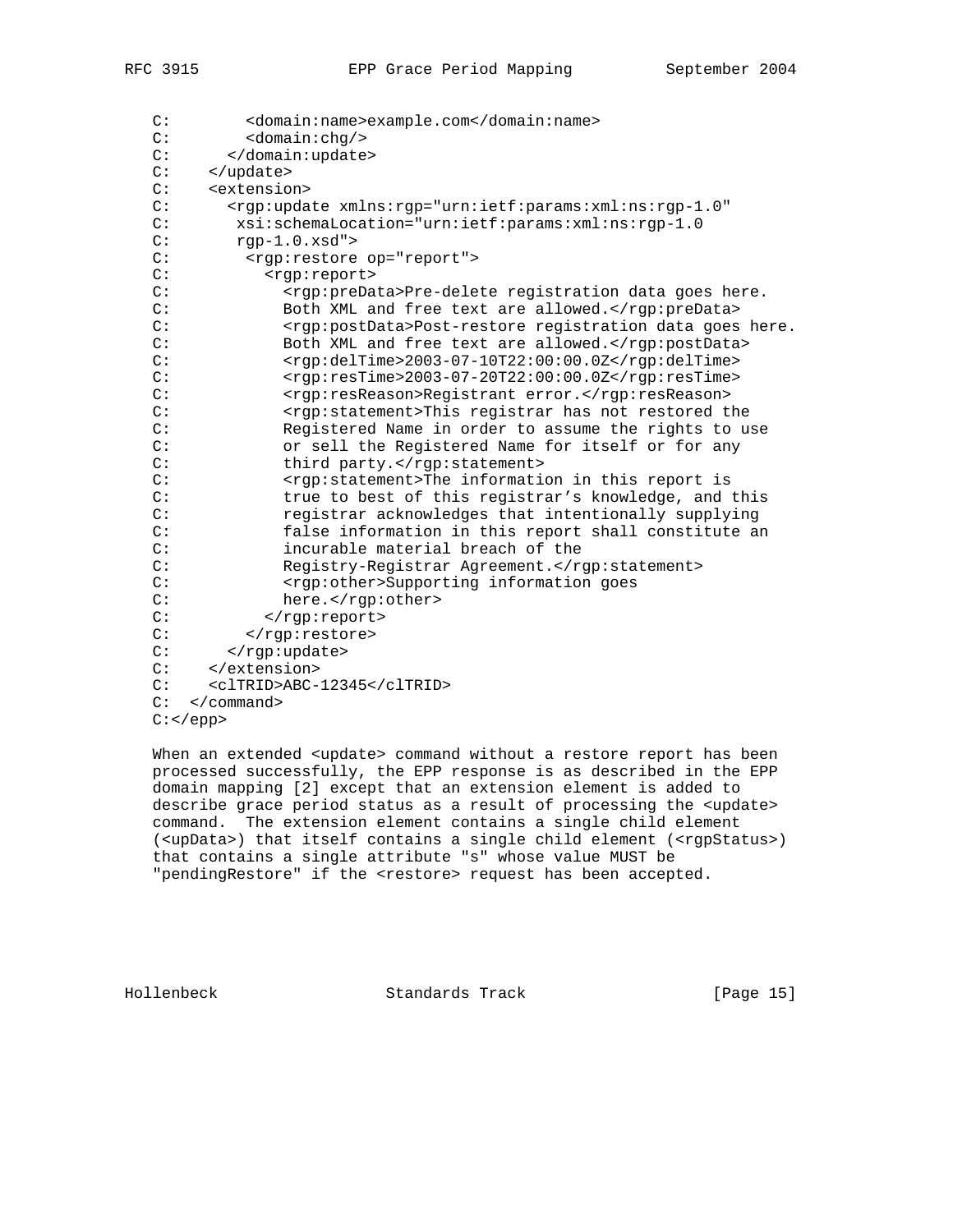| C: | <domain:name>example.com</domain:name>                                          |
|----|---------------------------------------------------------------------------------|
| C: | <domain:chq></domain:chq>                                                       |
| C: |                                                                                 |
| C: |                                                                                 |
| C: | <extension></extension>                                                         |
| C: | <rgp:update <="" td="" xmlns:rgp="urn:ietf:params:xml:ns:rgp-1.0"></rgp:update> |
| C: | xsi:schemaLocation="urn:ietf:params:xml:ns:rgp-1.0                              |
| C: | $rgp-1.0.xsd"$                                                                  |
| C: | <rqp:restore op="report"></rqp:restore>                                         |
| C: | <rqp:report></rqp:report>                                                       |
| C: | <rgp:predata>Pre-delete registration data goes here.</rgp:predata>              |
| C: | Both XML and free text are allowed.                                             |
| C: | <rgp:postdata>Post-restore registration data goes here.</rgp:postdata>          |
| C: | Both XML and free text are allowed.                                             |
| C: | <rgp:deltime>2003-07-10T22:00:00.0Z</rgp:deltime>                               |
| C: | <rgp:restime>2003-07-20T22:00:00.0Z</rgp:restime>                               |
| C: | <rgp:resreason>Registrant error.</rgp:resreason>                                |
| C: | <rgp:statement>This registrar has not restored the</rgp:statement>              |
| C: | Registered Name in order to assume the rights to use                            |
| C: | or sell the Registered Name for itself or for any                               |
| C: | third party.                                                                    |
| C: | <rgp:statement>The information in this report is</rgp:statement>                |
| C: | true to best of this registrar's knowledge, and this                            |
| C: | registrar acknowledges that intentionally supplying                             |
| C: | false information in this report shall constitute an                            |
| C: | incurable material breach of the                                                |
| C: | Registry-Registrar Agreement.                                                   |
| C: | <rgp:other>Supporting information goes</rgp:other>                              |
| C: | here.                                                                           |
| C: |                                                                                 |
| C: |                                                                                 |
| C: |                                                                                 |
| C: |                                                                                 |
| C: | <cltrid>ABC-12345</cltrid>                                                      |
| C: | $\langle$ /command>                                                             |
|    | $C:$                                                                            |

When an extended <update> command without a restore report has been processed successfully, the EPP response is as described in the EPP domain mapping [2] except that an extension element is added to describe grace period status as a result of processing the <update> command. The extension element contains a single child element (<upData>) that itself contains a single child element (<rgpStatus>) that contains a single attribute "s" whose value MUST be "pendingRestore" if the <restore> request has been accepted.

Hollenbeck Standards Track [Page 15]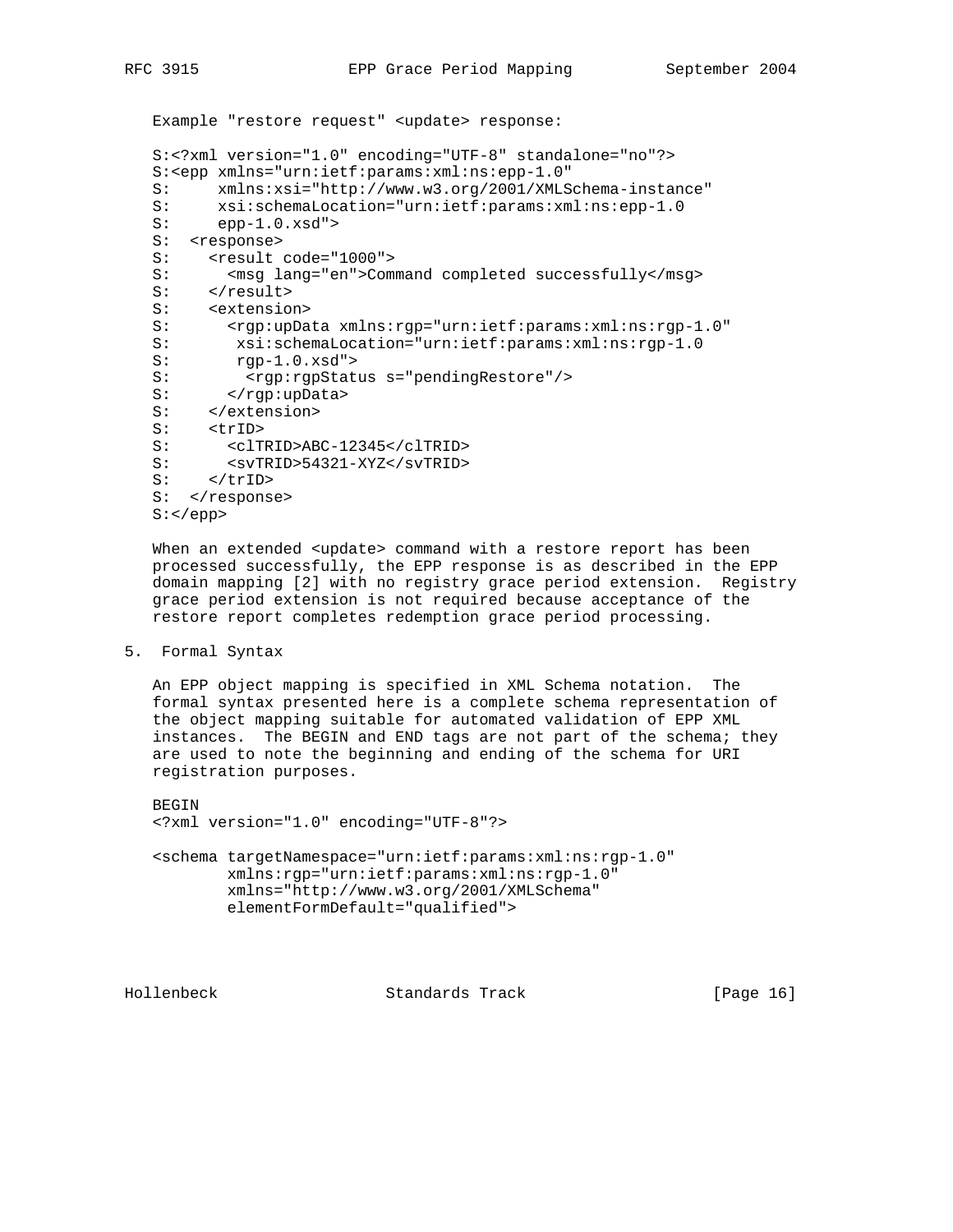Example "restore request" <update> response: S:<?xml version="1.0" encoding="UTF-8" standalone="no"?> S:<epp xmlns="urn:ietf:params:xml:ns:epp-1.0"<br>S: xmlns:xsi="http://www.w3.org/2001/XMLS S: xmlns:xsi="http://www.w3.org/2001/XMLSchema-instance" S: xsi:schemaLocation="urn:ietf:params:xml:ns:epp-1.0<br>S: epp-1.0.xsd"> epp-1.0.xsd"> S: <response> S: <result code="1000"> S: <msg lang="en">Command completed successfully</msg> S: </result> S: <extension> S: < rgp:upData xmlns:rgp="urn:ietf:params:xml:ns:rgp-1.0" S: xsi:schemaLocation="urn:ietf:params:xml:ns:rgp-1.0 S: rgp-1.0.xsd"> S: <rgp:rgpStatus s="pendingRestore"/> S: </rgp:upData> s: </rgp:uppa>>> </extension> S: <trID> S: <clTRID>ABC-12345</clTRID> S: <svTRID>54321-XYZ</svTRID> S: </trID> S: </response>

S:</epp>

When an extended <update> command with a restore report has been processed successfully, the EPP response is as described in the EPP domain mapping [2] with no registry grace period extension. Registry grace period extension is not required because acceptance of the restore report completes redemption grace period processing.

5. Formal Syntax

 An EPP object mapping is specified in XML Schema notation. The formal syntax presented here is a complete schema representation of the object mapping suitable for automated validation of EPP XML instances. The BEGIN and END tags are not part of the schema; they are used to note the beginning and ending of the schema for URI registration purposes.

 BEGIN <?xml version="1.0" encoding="UTF-8"?>

 <schema targetNamespace="urn:ietf:params:xml:ns:rgp-1.0" xmlns:rgp="urn:ietf:params:xml:ns:rgp-1.0" xmlns="http://www.w3.org/2001/XMLSchema" elementFormDefault="qualified">

Hollenbeck Standards Track [Page 16]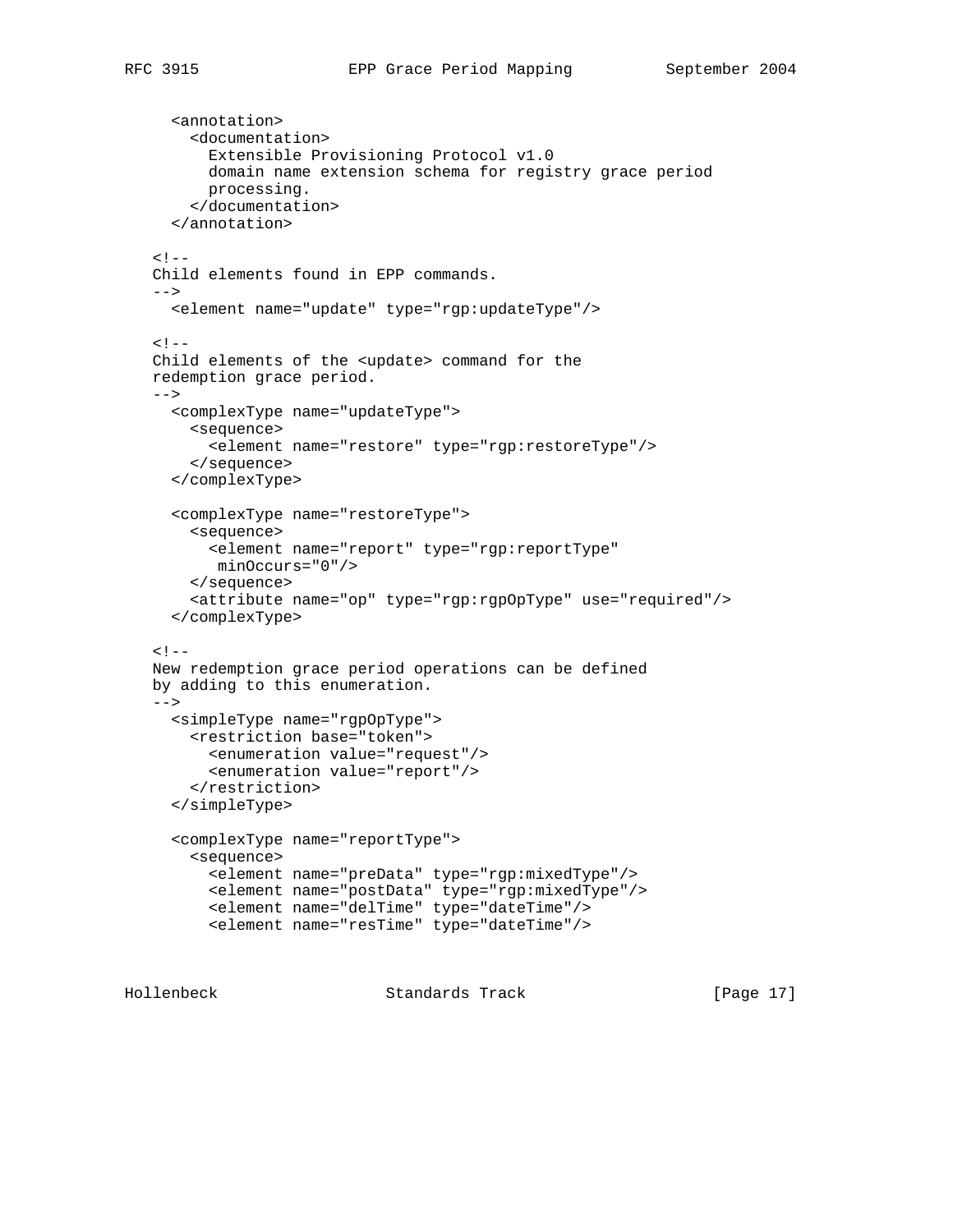```
 <annotation>
        <documentation>
          Extensible Provisioning Protocol v1.0
          domain name extension schema for registry grace period
         processing.
        </documentation>
      </annotation>
   1 - Child elements found in EPP commands.
   --&> <element name="update" type="rgp:updateType"/>
   < ! -- Child elements of the <update> command for the
   redemption grace period.
   --&> <complexType name="updateType">
        <sequence>
          <element name="restore" type="rgp:restoreType"/>
        </sequence>
      </complexType>
      <complexType name="restoreType">
        <sequence>
          <element name="report" type="rgp:reportType"
          minOccurs="0"/>
        </sequence>
        <attribute name="op" type="rgp:rgpOpType" use="required"/>
      </complexType>
   < ! -- New redemption grace period operations can be defined
    by adding to this enumeration.
   --&> <simpleType name="rgpOpType">
        <restriction base="token">
          <enumeration value="request"/>
          <enumeration value="report"/>
        </restriction>
      </simpleType>
      <complexType name="reportType">
        <sequence>
          <element name="preData" type="rgp:mixedType"/>
          <element name="postData" type="rgp:mixedType"/>
          <element name="delTime" type="dateTime"/>
          <element name="resTime" type="dateTime"/>
Hollenbeck Standards Track [Page 17]
```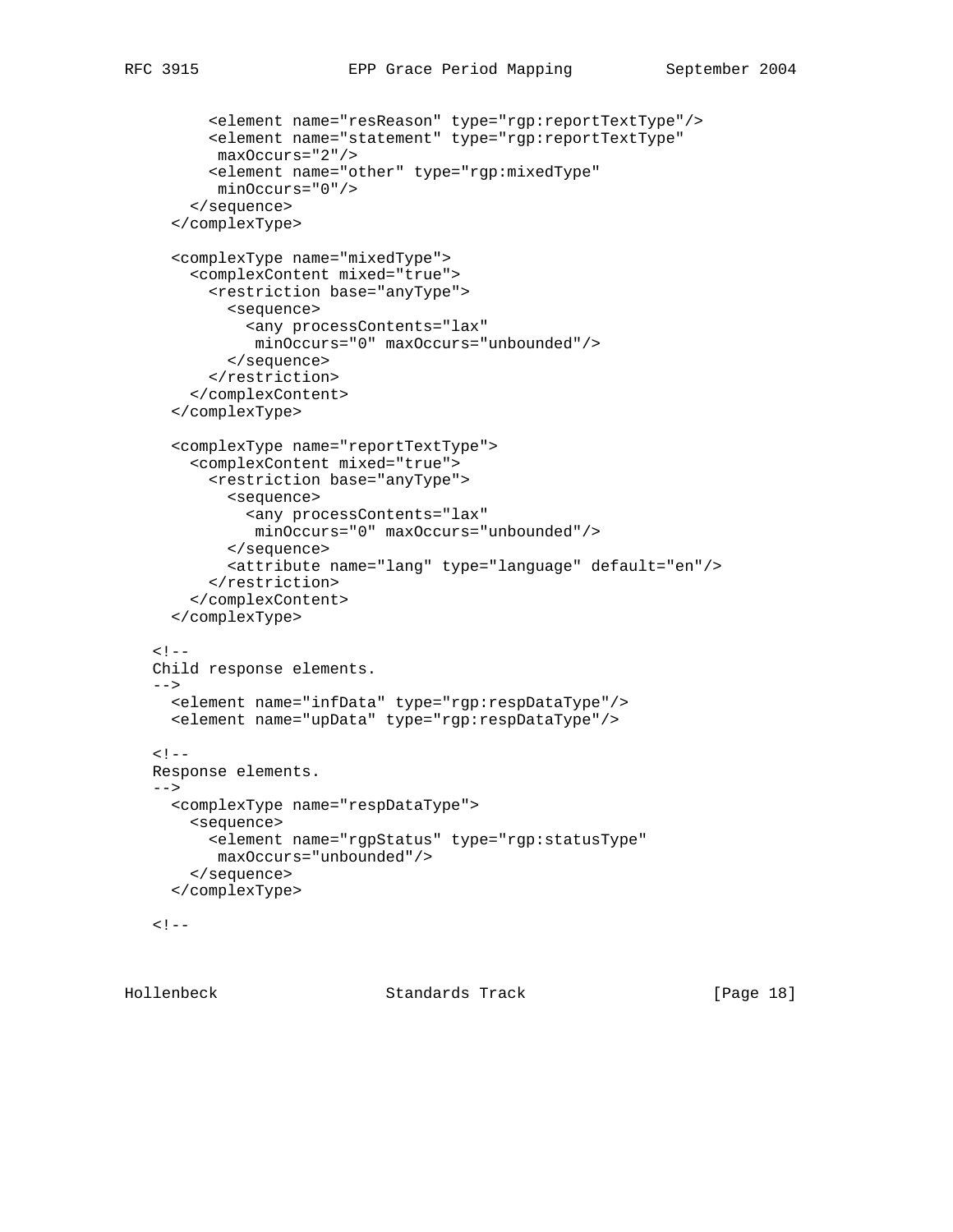```
 <element name="resReason" type="rgp:reportTextType"/>
       <element name="statement" type="rgp:reportTextType"
       maxOccurs="2"/>
       <element name="other" type="rgp:mixedType"
        minOccurs="0"/>
     </sequence>
   </complexType>
   <complexType name="mixedType">
     <complexContent mixed="true">
       <restriction base="anyType">
         <sequence>
           <any processContents="lax"
            minOccurs="0" maxOccurs="unbounded"/>
         </sequence>
       </restriction>
     </complexContent>
   </complexType>
   <complexType name="reportTextType">
     <complexContent mixed="true">
       <restriction base="anyType">
         <sequence>
           <any processContents="lax"
            minOccurs="0" maxOccurs="unbounded"/>
         </sequence>
         <attribute name="lang" type="language" default="en"/>
       </restriction>
     </complexContent>
   </complexType>
< ! -- Child response elements.
--&> <element name="infData" type="rgp:respDataType"/>
   <element name="upData" type="rgp:respDataType"/>
< ! -- Response elements.
--&> <complexType name="respDataType">
     <sequence>
       <element name="rgpStatus" type="rgp:statusType"
       maxOccurs="unbounded"/>
     </sequence>
   </complexType>
< ! - -
```
Hollenbeck Standards Track [Page 18]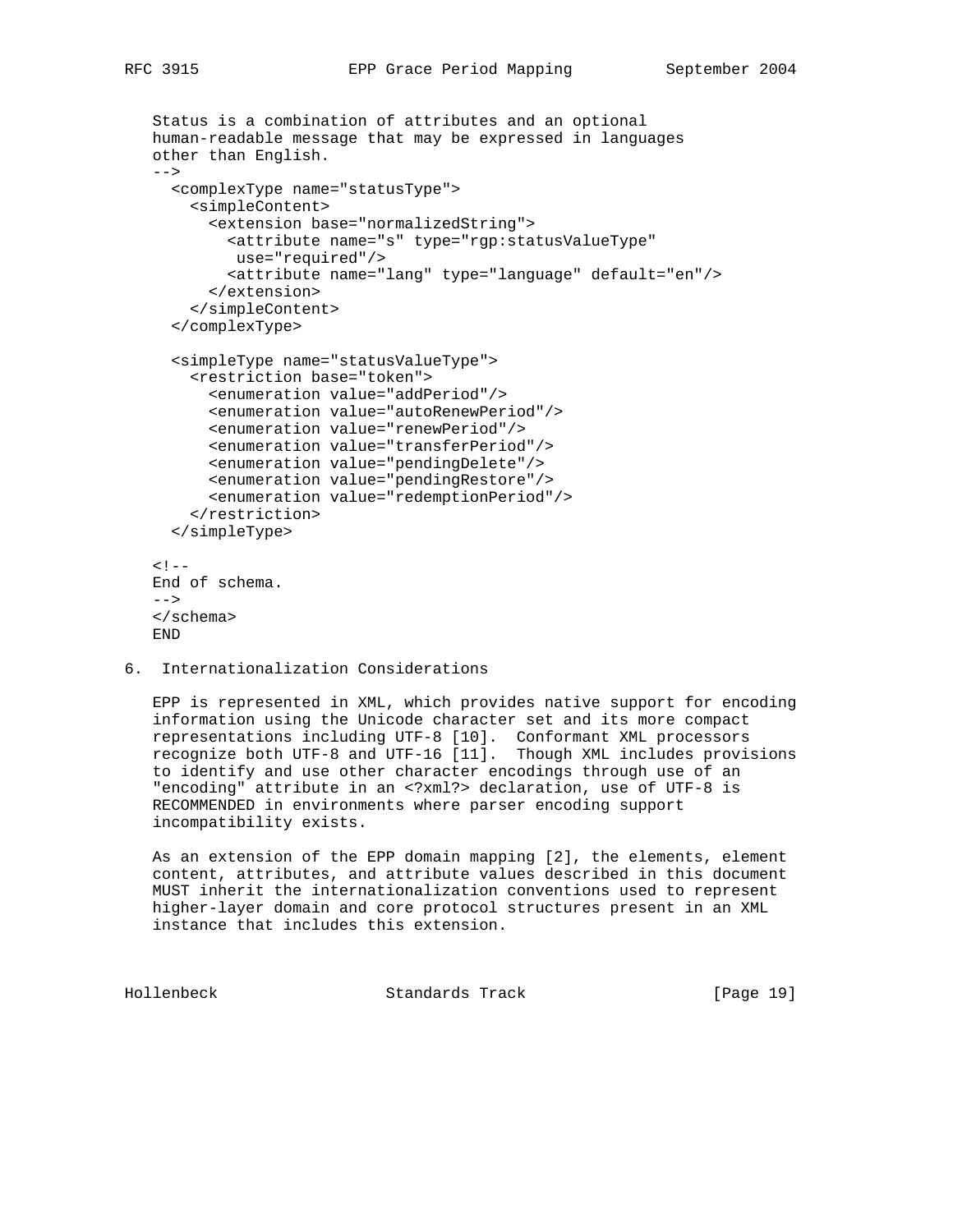```
 Status is a combination of attributes and an optional
 human-readable message that may be expressed in languages
 other than English.
 -->
   <complexType name="statusType">
     <simpleContent>
       <extension base="normalizedString">
         <attribute name="s" type="rgp:statusValueType"
         use="required"/>
         <attribute name="lang" type="language" default="en"/>
       </extension>
     </simpleContent>
   </complexType>
   <simpleType name="statusValueType">
     <restriction base="token">
       <enumeration value="addPeriod"/>
       <enumeration value="autoRenewPeriod"/>
       <enumeration value="renewPeriod"/>
       <enumeration value="transferPeriod"/>
       <enumeration value="pendingDelete"/>
       <enumeration value="pendingRestore"/>
       <enumeration value="redemptionPeriod"/>
     </restriction>
   </simpleType>
< ! - - End of schema.
--&> </schema>
 END
```
6. Internationalization Considerations

 EPP is represented in XML, which provides native support for encoding information using the Unicode character set and its more compact representations including UTF-8 [10]. Conformant XML processors recognize both UTF-8 and UTF-16 [11]. Though XML includes provisions to identify and use other character encodings through use of an "encoding" attribute in an <?xml?> declaration, use of UTF-8 is RECOMMENDED in environments where parser encoding support incompatibility exists.

 As an extension of the EPP domain mapping [2], the elements, element content, attributes, and attribute values described in this document MUST inherit the internationalization conventions used to represent higher-layer domain and core protocol structures present in an XML instance that includes this extension.

Hollenbeck Standards Track [Page 19]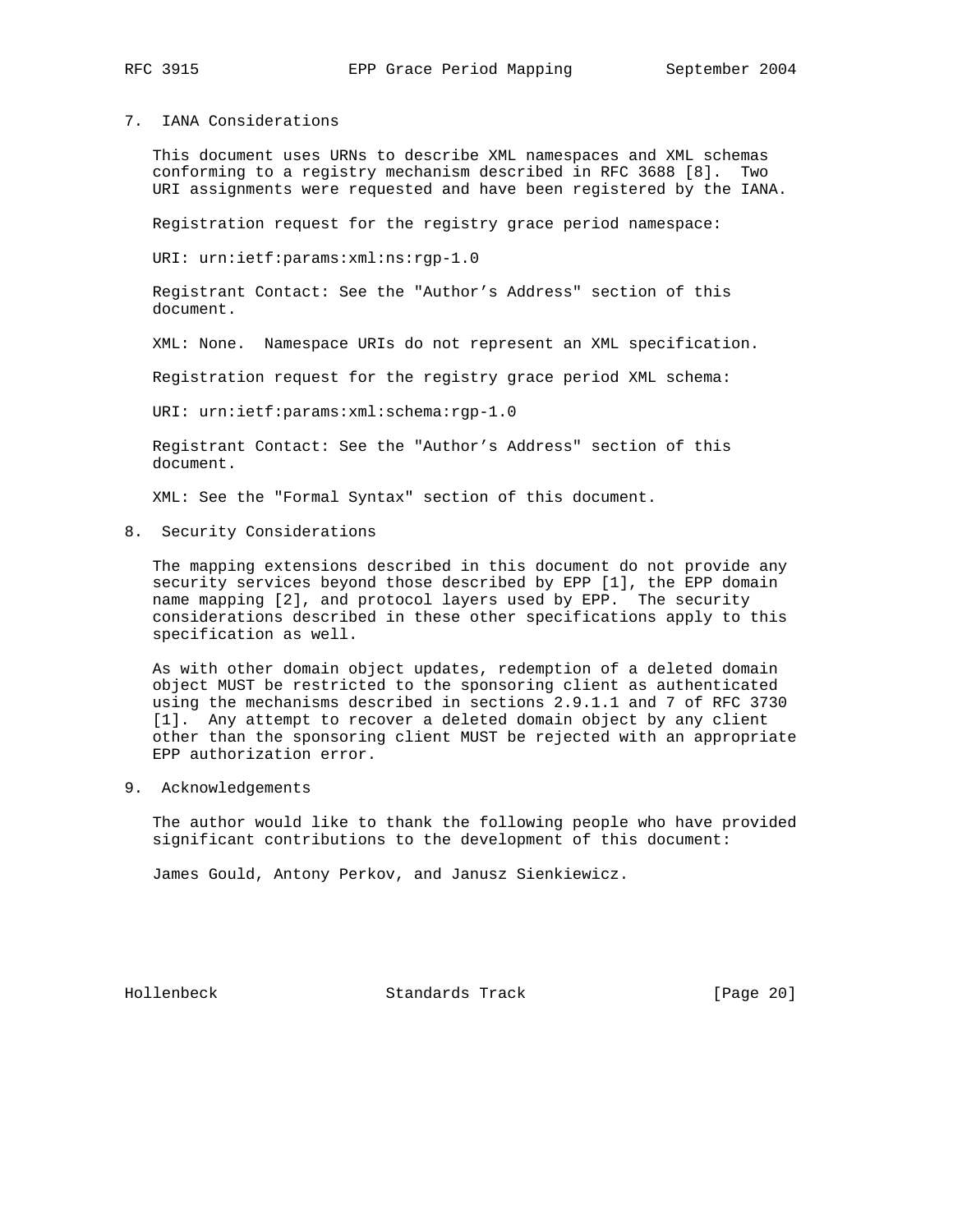## 7. IANA Considerations

 This document uses URNs to describe XML namespaces and XML schemas conforming to a registry mechanism described in RFC 3688 [8]. Two URI assignments were requested and have been registered by the IANA.

Registration request for the registry grace period namespace:

URI: urn:ietf:params:xml:ns:rgp-1.0

 Registrant Contact: See the "Author's Address" section of this document.

XML: None. Namespace URIs do not represent an XML specification.

Registration request for the registry grace period XML schema:

URI: urn:ietf:params:xml:schema:rgp-1.0

 Registrant Contact: See the "Author's Address" section of this document.

XML: See the "Formal Syntax" section of this document.

8. Security Considerations

 The mapping extensions described in this document do not provide any security services beyond those described by EPP [1], the EPP domain name mapping [2], and protocol layers used by EPP. The security considerations described in these other specifications apply to this specification as well.

 As with other domain object updates, redemption of a deleted domain object MUST be restricted to the sponsoring client as authenticated using the mechanisms described in sections 2.9.1.1 and 7 of RFC 3730 [1]. Any attempt to recover a deleted domain object by any client other than the sponsoring client MUST be rejected with an appropriate EPP authorization error.

9. Acknowledgements

 The author would like to thank the following people who have provided significant contributions to the development of this document:

James Gould, Antony Perkov, and Janusz Sienkiewicz.

Hollenbeck Standards Track [Page 20]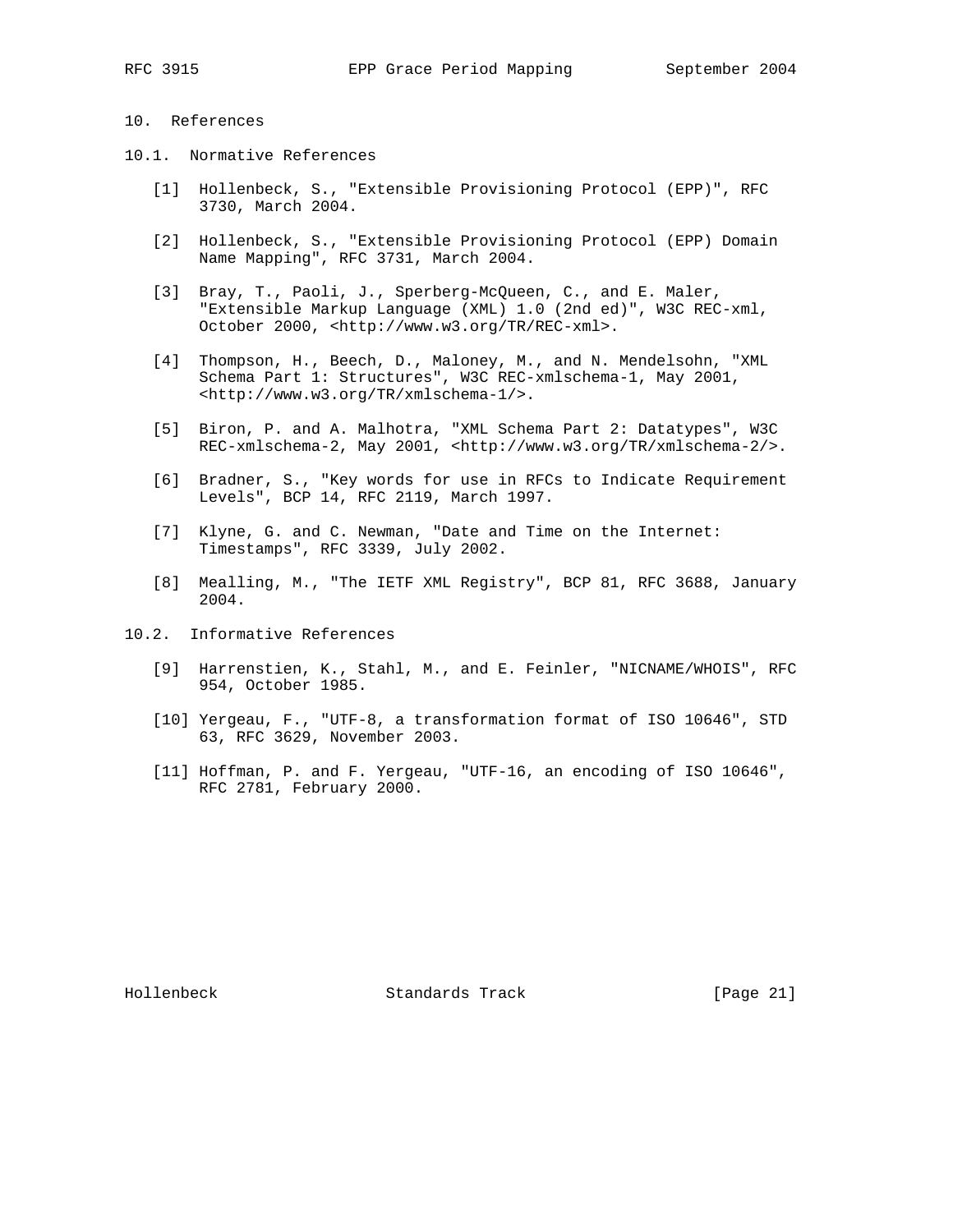## 10. References

- 10.1. Normative References
	- [1] Hollenbeck, S., "Extensible Provisioning Protocol (EPP)", RFC 3730, March 2004.
	- [2] Hollenbeck, S., "Extensible Provisioning Protocol (EPP) Domain Name Mapping", RFC 3731, March 2004.
	- [3] Bray, T., Paoli, J., Sperberg-McQueen, C., and E. Maler, "Extensible Markup Language (XML) 1.0 (2nd ed)", W3C REC-xml, October 2000, <http://www.w3.org/TR/REC-xml>.
	- [4] Thompson, H., Beech, D., Maloney, M., and N. Mendelsohn, "XML Schema Part 1: Structures", W3C REC-xmlschema-1, May 2001, <http://www.w3.org/TR/xmlschema-1/>.
	- [5] Biron, P. and A. Malhotra, "XML Schema Part 2: Datatypes", W3C REC-xmlschema-2, May 2001, <http://www.w3.org/TR/xmlschema-2/>.
	- [6] Bradner, S., "Key words for use in RFCs to Indicate Requirement Levels", BCP 14, RFC 2119, March 1997.
	- [7] Klyne, G. and C. Newman, "Date and Time on the Internet: Timestamps", RFC 3339, July 2002.
	- [8] Mealling, M., "The IETF XML Registry", BCP 81, RFC 3688, January 2004.
- 10.2. Informative References
	- [9] Harrenstien, K., Stahl, M., and E. Feinler, "NICNAME/WHOIS", RFC 954, October 1985.
	- [10] Yergeau, F., "UTF-8, a transformation format of ISO 10646", STD 63, RFC 3629, November 2003.
	- [11] Hoffman, P. and F. Yergeau, "UTF-16, an encoding of ISO 10646", RFC 2781, February 2000.

Hollenbeck Standards Track [Page 21]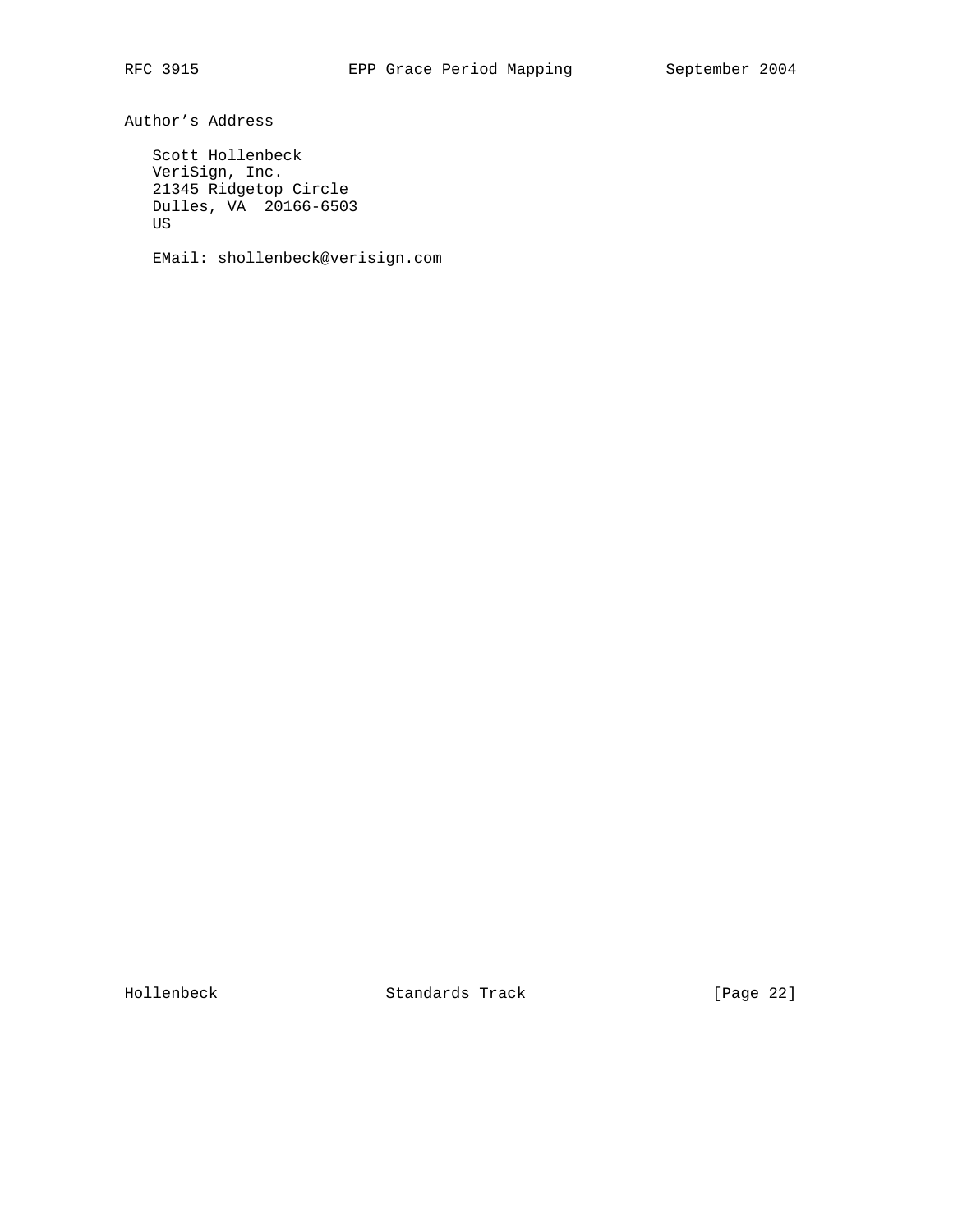Author's Address

 Scott Hollenbeck VeriSign, Inc. 21345 Ridgetop Circle Dulles, VA 20166-6503 US

EMail: shollenbeck@verisign.com

Hollenbeck Standards Track [Page 22]